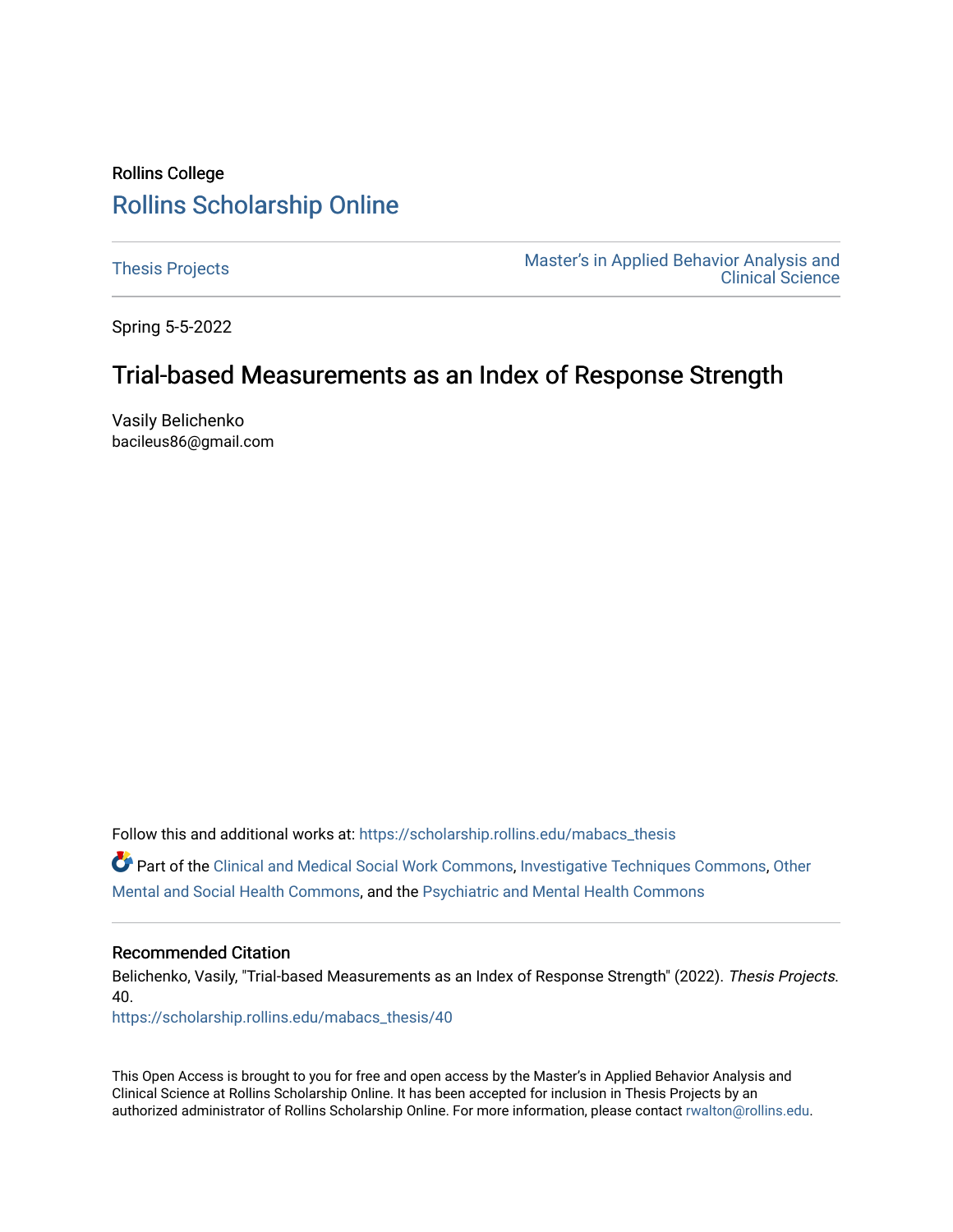# Rollins College [Rollins Scholarship Online](https://scholarship.rollins.edu/)

[Thesis Projects](https://scholarship.rollins.edu/mabacs_thesis) **Master's in Applied Behavior Analysis and** Master's in Applied Behavior Analysis and [Clinical Science](https://scholarship.rollins.edu/mabacs) 

Spring 5-5-2022

# Trial-based Measurements as an Index of Response Strength

Vasily Belichenko bacileus86@gmail.com

Follow this and additional works at: [https://scholarship.rollins.edu/mabacs\\_thesis](https://scholarship.rollins.edu/mabacs_thesis?utm_source=scholarship.rollins.edu%2Fmabacs_thesis%2F40&utm_medium=PDF&utm_campaign=PDFCoverPages) 

Part of the [Clinical and Medical Social Work Commons,](https://network.bepress.com/hgg/discipline/712?utm_source=scholarship.rollins.edu%2Fmabacs_thesis%2F40&utm_medium=PDF&utm_campaign=PDFCoverPages) [Investigative Techniques Commons,](https://network.bepress.com/hgg/discipline/922?utm_source=scholarship.rollins.edu%2Fmabacs_thesis%2F40&utm_medium=PDF&utm_campaign=PDFCoverPages) [Other](https://network.bepress.com/hgg/discipline/717?utm_source=scholarship.rollins.edu%2Fmabacs_thesis%2F40&utm_medium=PDF&utm_campaign=PDFCoverPages) [Mental and Social Health Commons,](https://network.bepress.com/hgg/discipline/717?utm_source=scholarship.rollins.edu%2Fmabacs_thesis%2F40&utm_medium=PDF&utm_campaign=PDFCoverPages) and the [Psychiatric and Mental Health Commons](https://network.bepress.com/hgg/discipline/711?utm_source=scholarship.rollins.edu%2Fmabacs_thesis%2F40&utm_medium=PDF&utm_campaign=PDFCoverPages) 

### Recommended Citation

Belichenko, Vasily, "Trial-based Measurements as an Index of Response Strength" (2022). Thesis Projects. 40.

[https://scholarship.rollins.edu/mabacs\\_thesis/40](https://scholarship.rollins.edu/mabacs_thesis/40?utm_source=scholarship.rollins.edu%2Fmabacs_thesis%2F40&utm_medium=PDF&utm_campaign=PDFCoverPages) 

This Open Access is brought to you for free and open access by the Master's in Applied Behavior Analysis and Clinical Science at Rollins Scholarship Online. It has been accepted for inclusion in Thesis Projects by an authorized administrator of Rollins Scholarship Online. For more information, please contact [rwalton@rollins.edu](mailto:rwalton@rollins.edu).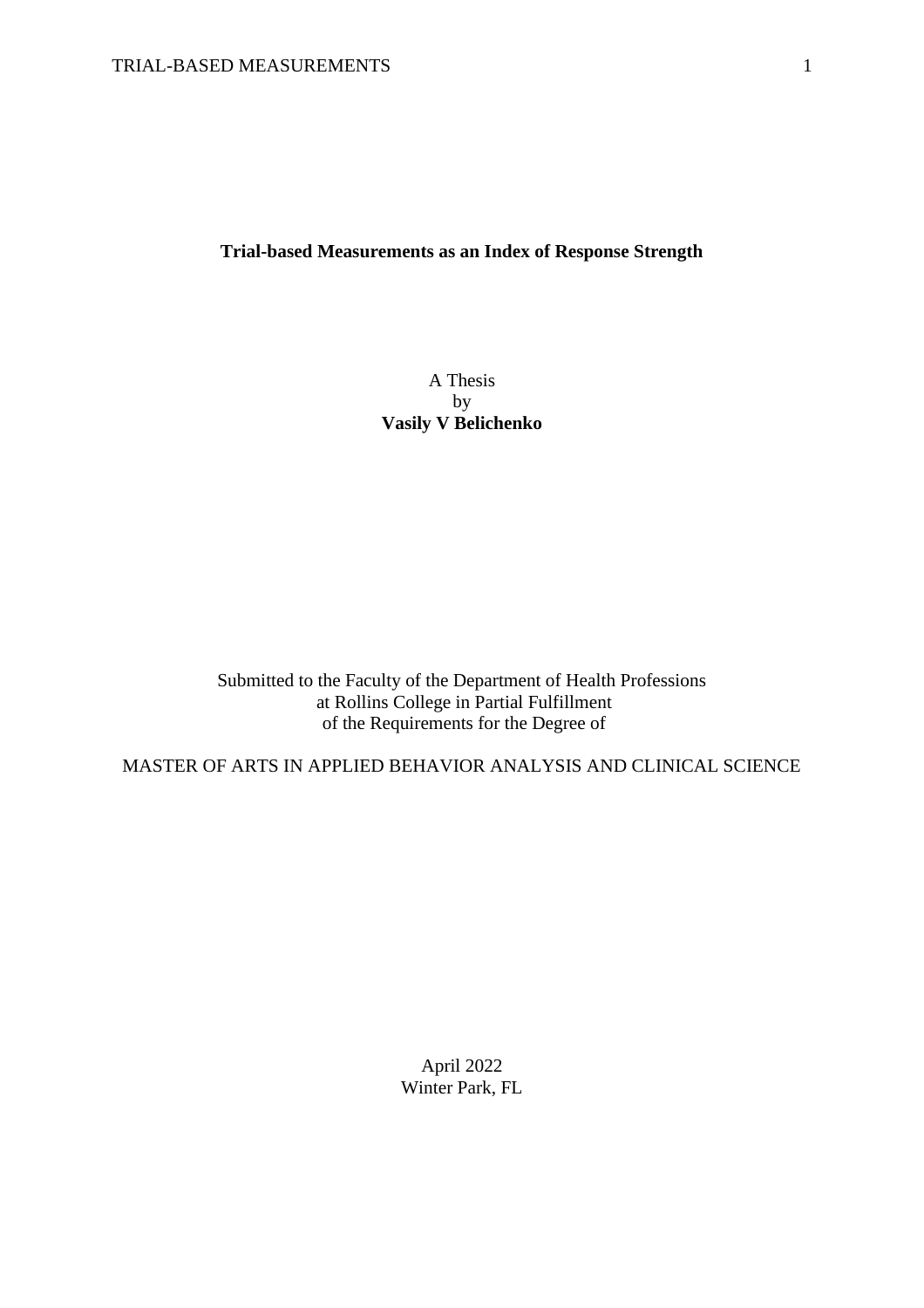## **Trial-based Measurements as an Index of Response Strength**

### A Thesis by **Vasily V Belichenko**

Submitted to the Faculty of the Department of Health Professions at Rollins College in Partial Fulfillment of the Requirements for the Degree of

MASTER OF ARTS IN APPLIED BEHAVIOR ANALYSIS AND CLINICAL SCIENCE

April 2022 Winter Park, FL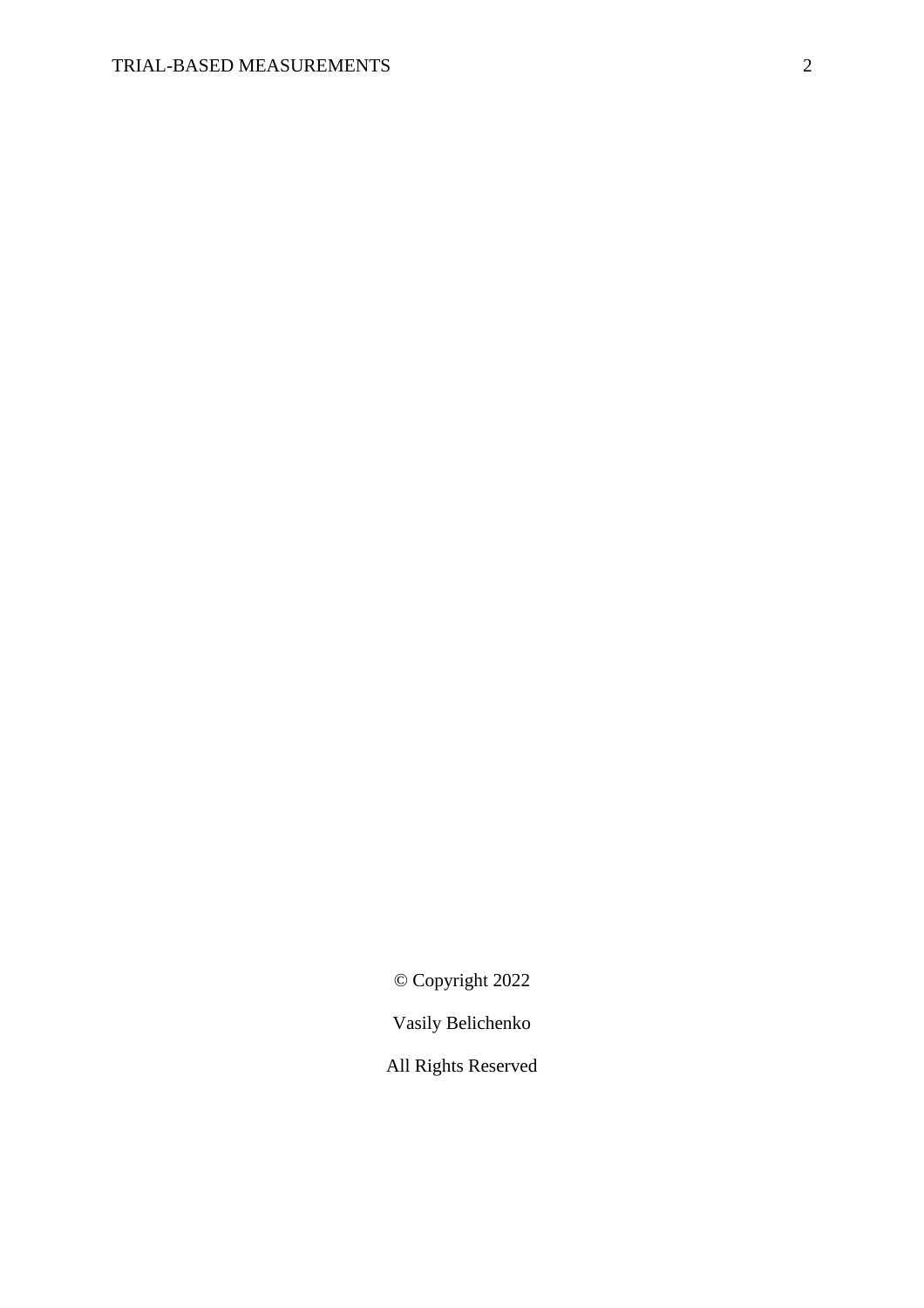© Copyright 2022

Vasily Belichenko

All Rights Reserved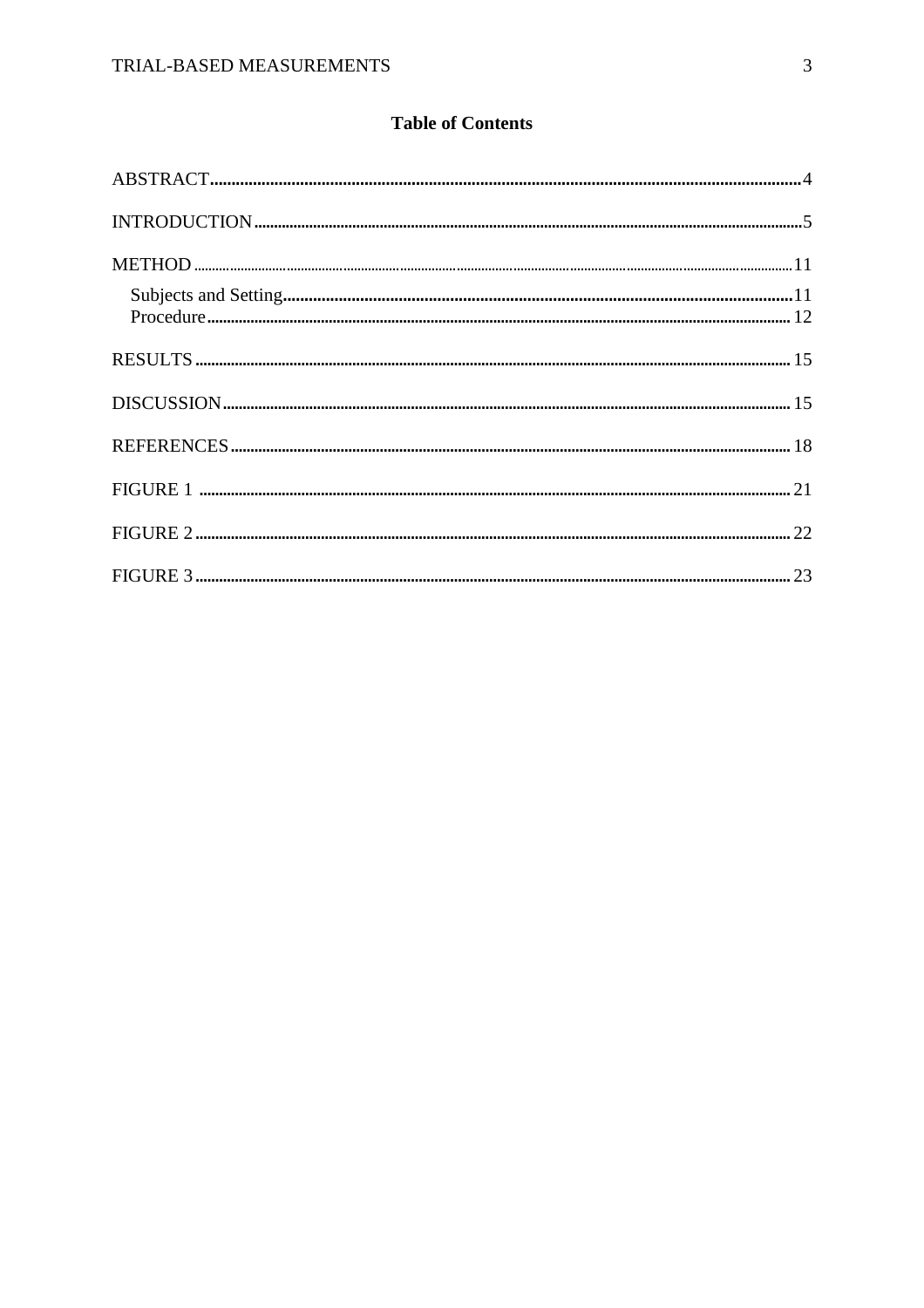# **Table of Contents**

| $\bf INTRODUCTION  \textit{} \textit{} \textit{} \textit{} \textit{} \textit{} \textit{} \textit{} \textit{} \textit{} \textit{} \textit{} \textit{} \textit{} \textit{} \textit{} \textit{} \textit{} \textit{} \textit{} \textit{} \textit{} \textit{} \textit{} \textit{} \textit{} \textit{} \textit{} \textit{} \textit{} \textit{} \textit{} \textit{} \textit{} \textit{} \textit{$ |  |
|--------------------------------------------------------------------------------------------------------------------------------------------------------------------------------------------------------------------------------------------------------------------------------------------------------------------------------------------------------------------------------------------|--|
|                                                                                                                                                                                                                                                                                                                                                                                            |  |
|                                                                                                                                                                                                                                                                                                                                                                                            |  |
|                                                                                                                                                                                                                                                                                                                                                                                            |  |
|                                                                                                                                                                                                                                                                                                                                                                                            |  |
|                                                                                                                                                                                                                                                                                                                                                                                            |  |
|                                                                                                                                                                                                                                                                                                                                                                                            |  |
|                                                                                                                                                                                                                                                                                                                                                                                            |  |
|                                                                                                                                                                                                                                                                                                                                                                                            |  |
|                                                                                                                                                                                                                                                                                                                                                                                            |  |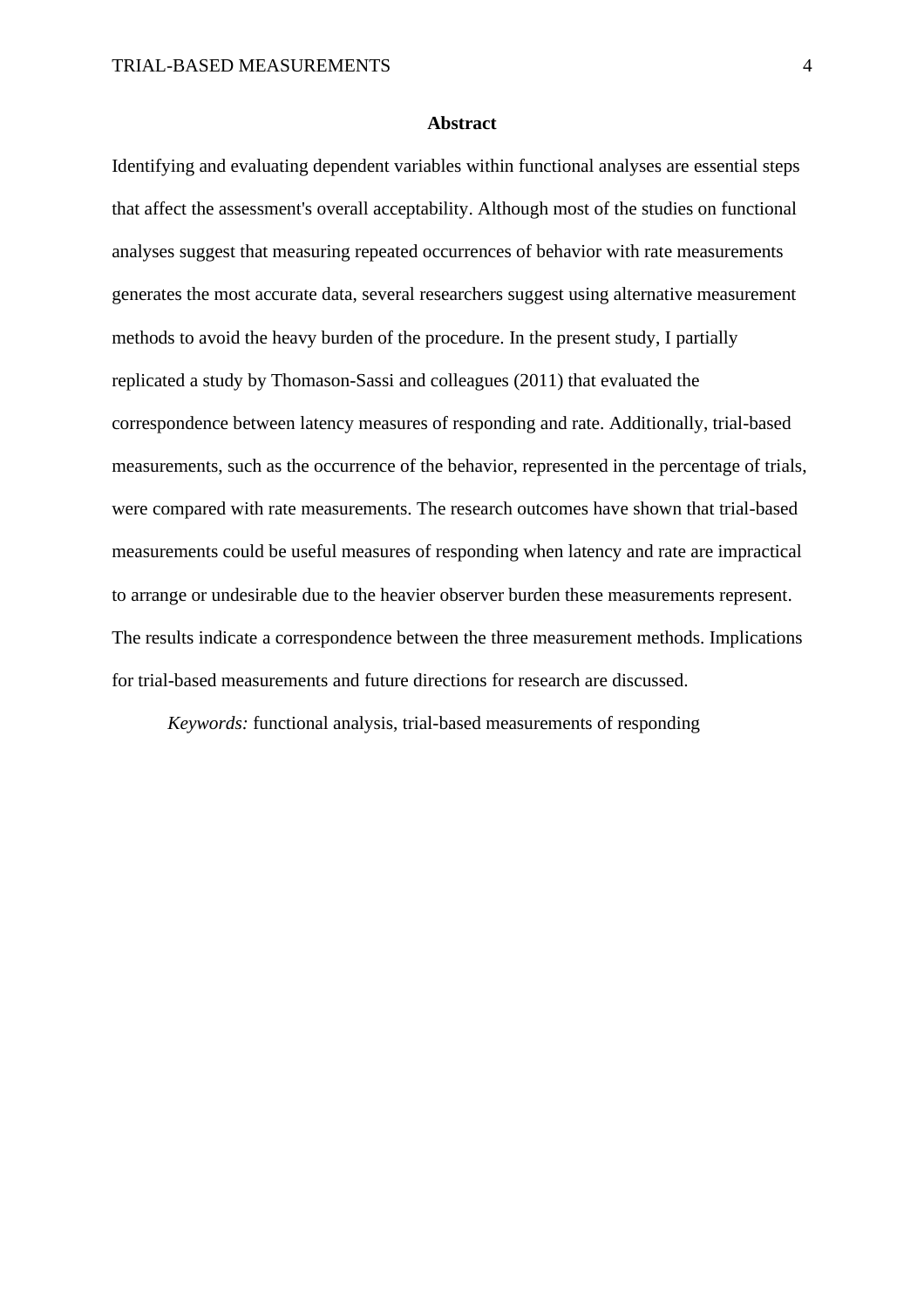#### **Abstract**

Identifying and evaluating dependent variables within functional analyses are essential steps that affect the assessment's overall acceptability. Although most of the studies on functional analyses suggest that measuring repeated occurrences of behavior with rate measurements generates the most accurate data, several researchers suggest using alternative measurement methods to avoid the heavy burden of the procedure. In the present study, I partially replicated a study by Thomason-Sassi and colleagues (2011) that evaluated the correspondence between latency measures of responding and rate. Additionally, trial-based measurements, such as the occurrence of the behavior, represented in the percentage of trials, were compared with rate measurements. The research outcomes have shown that trial-based measurements could be useful measures of responding when latency and rate are impractical to arrange or undesirable due to the heavier observer burden these measurements represent. The results indicate a correspondence between the three measurement methods. Implications for trial-based measurements and future directions for research are discussed.

*Keywords:* functional analysis, trial-based measurements of responding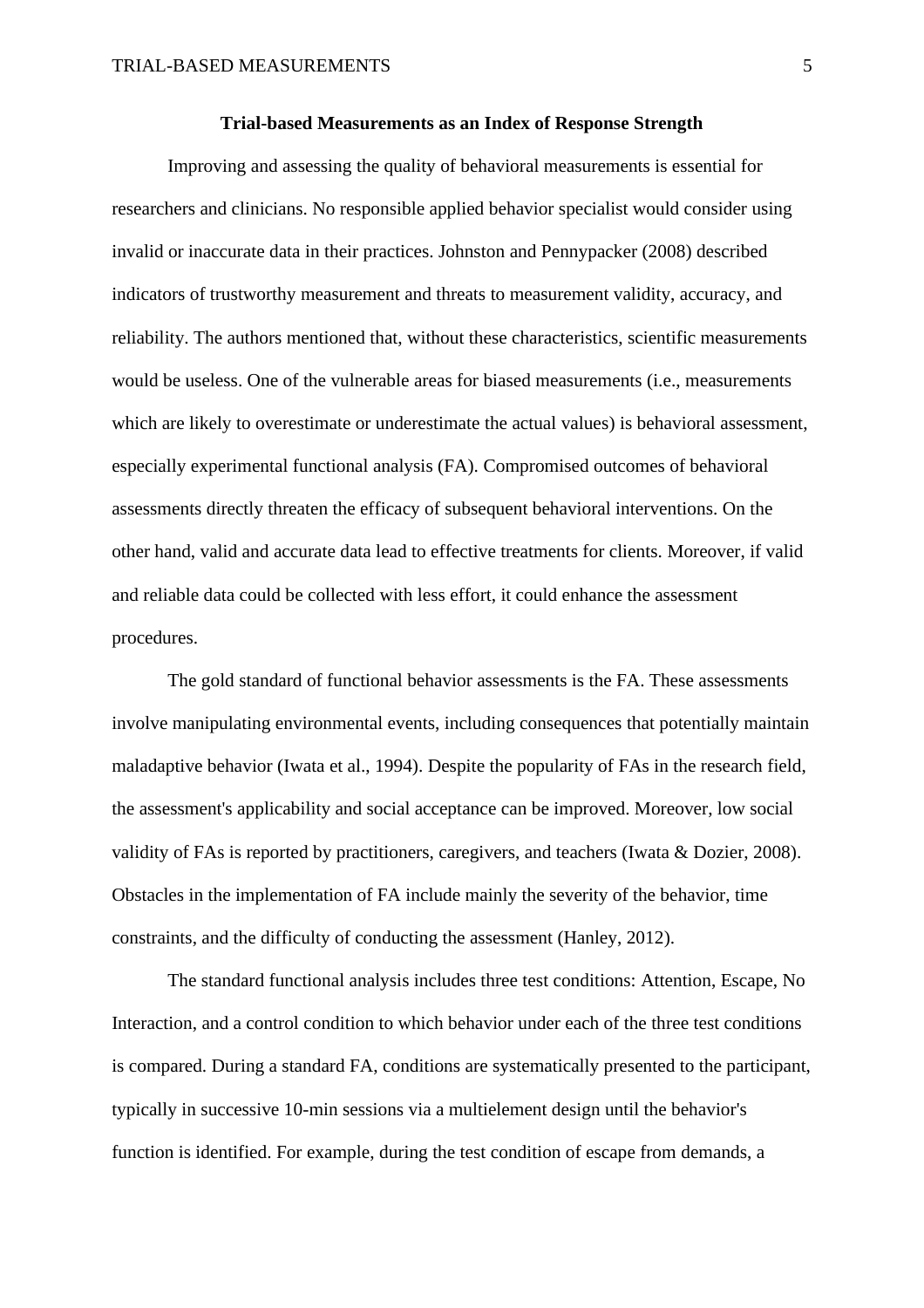#### **Trial-based Measurements as an Index of Response Strength**

Improving and assessing the quality of behavioral measurements is essential for researchers and clinicians. No responsible applied behavior specialist would consider using invalid or inaccurate data in their practices. Johnston and Pennypacker (2008) described indicators of trustworthy measurement and threats to measurement validity, accuracy, and reliability. The authors mentioned that, without these characteristics, scientific measurements would be useless. One of the vulnerable areas for biased measurements (i.e., measurements which are likely to overestimate or underestimate the actual values) is behavioral assessment, especially experimental functional analysis (FA). Compromised outcomes of behavioral assessments directly threaten the efficacy of subsequent behavioral interventions. On the other hand, valid and accurate data lead to effective treatments for clients. Moreover, if valid and reliable data could be collected with less effort, it could enhance the assessment procedures.

The gold standard of functional behavior assessments is the FA. These assessments involve manipulating environmental events, including consequences that potentially maintain maladaptive behavior (Iwata et al., 1994). Despite the popularity of FAs in the research field, the assessment's applicability and social acceptance can be improved. Moreover, low social validity of FAs is reported by practitioners, caregivers, and teachers (Iwata & Dozier, 2008). Obstacles in the implementation of FA include mainly the severity of the behavior, time constraints, and the difficulty of conducting the assessment (Hanley, 2012).

The standard functional analysis includes three test conditions: Attention, Escape, No Interaction, and a control condition to which behavior under each of the three test conditions is compared. During a standard FA, conditions are systematically presented to the participant, typically in successive 10-min sessions via a multielement design until the behavior's function is identified. For example, during the test condition of escape from demands, a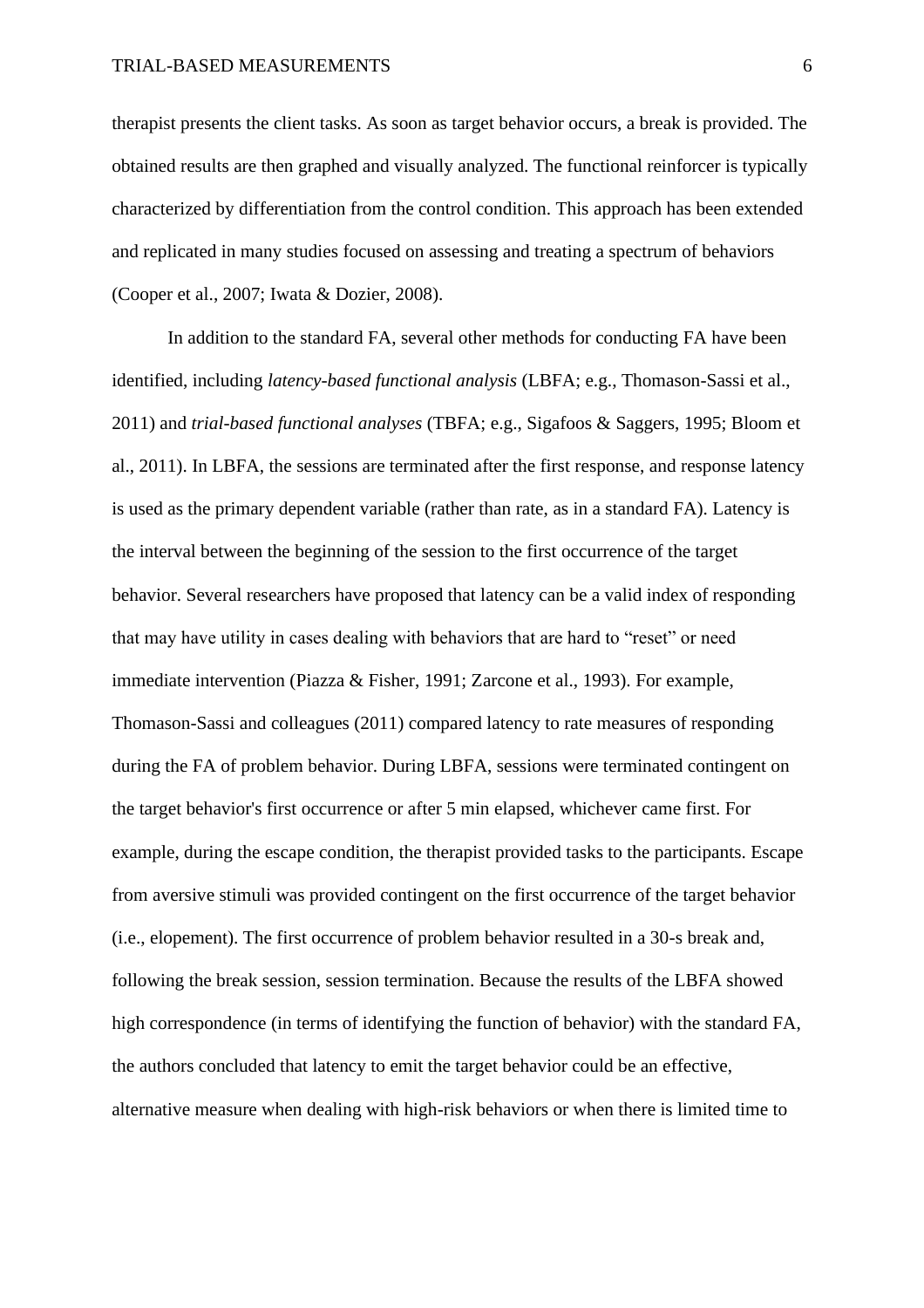therapist presents the client tasks. As soon as target behavior occurs, a break is provided. The obtained results are then graphed and visually analyzed. The functional reinforcer is typically characterized by differentiation from the control condition. This approach has been extended and replicated in many studies focused on assessing and treating a spectrum of behaviors (Cooper et al., 2007; Iwata & Dozier, 2008).

In addition to the standard FA, several other methods for conducting FA have been identified, including *latency-based functional analysis* (LBFA; e.g., Thomason-Sassi et al., 2011) and *trial-based functional analyses* (TBFA; e.g., Sigafoos & Saggers, 1995; Bloom et al., 2011). In LBFA, the sessions are terminated after the first response, and response latency is used as the primary dependent variable (rather than rate, as in a standard FA). Latency is the interval between the beginning of the session to the first occurrence of the target behavior. Several researchers have proposed that latency can be a valid index of responding that may have utility in cases dealing with behaviors that are hard to "reset" or need immediate intervention (Piazza & Fisher, 1991; Zarcone et al., 1993). For example, Thomason-Sassi and colleagues (2011) compared latency to rate measures of responding during the FA of problem behavior. During LBFA, sessions were terminated contingent on the target behavior's first occurrence or after 5 min elapsed, whichever came first. For example, during the escape condition, the therapist provided tasks to the participants. Escape from aversive stimuli was provided contingent on the first occurrence of the target behavior (i.e., elopement). The first occurrence of problem behavior resulted in a 30-s break and, following the break session, session termination. Because the results of the LBFA showed high correspondence (in terms of identifying the function of behavior) with the standard FA, the authors concluded that latency to emit the target behavior could be an effective, alternative measure when dealing with high-risk behaviors or when there is limited time to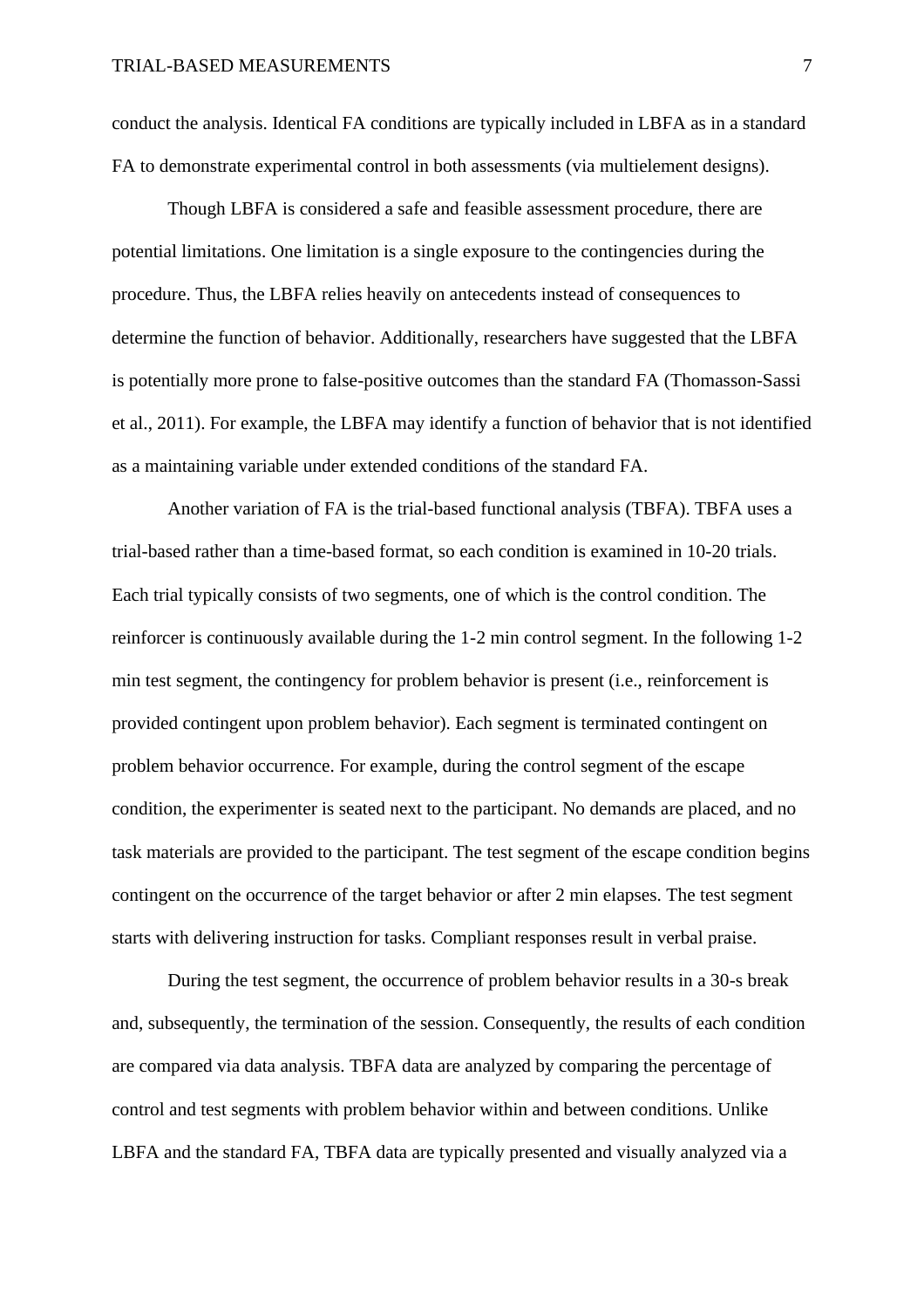conduct the analysis. Identical FA conditions are typically included in LBFA as in a standard FA to demonstrate experimental control in both assessments (via multielement designs).

Though LBFA is considered a safe and feasible assessment procedure, there are potential limitations. One limitation is a single exposure to the contingencies during the procedure. Thus, the LBFA relies heavily on antecedents instead of consequences to determine the function of behavior. Additionally, researchers have suggested that the LBFA is potentially more prone to false-positive outcomes than the standard FA (Thomasson-Sassi et al., 2011). For example, the LBFA may identify a function of behavior that is not identified as a maintaining variable under extended conditions of the standard FA.

Another variation of FA is the trial-based functional analysis (TBFA). TBFA uses a trial-based rather than a time-based format, so each condition is examined in 10-20 trials. Each trial typically consists of two segments, one of which is the control condition. The reinforcer is continuously available during the 1-2 min control segment. In the following 1-2 min test segment, the contingency for problem behavior is present (i.e., reinforcement is provided contingent upon problem behavior). Each segment is terminated contingent on problem behavior occurrence. For example, during the control segment of the escape condition, the experimenter is seated next to the participant. No demands are placed, and no task materials are provided to the participant. The test segment of the escape condition begins contingent on the occurrence of the target behavior or after 2 min elapses. The test segment starts with delivering instruction for tasks. Compliant responses result in verbal praise.

During the test segment, the occurrence of problem behavior results in a 30-s break and, subsequently, the termination of the session. Consequently, the results of each condition are compared via data analysis. TBFA data are analyzed by comparing the percentage of control and test segments with problem behavior within and between conditions. Unlike LBFA and the standard FA, TBFA data are typically presented and visually analyzed via a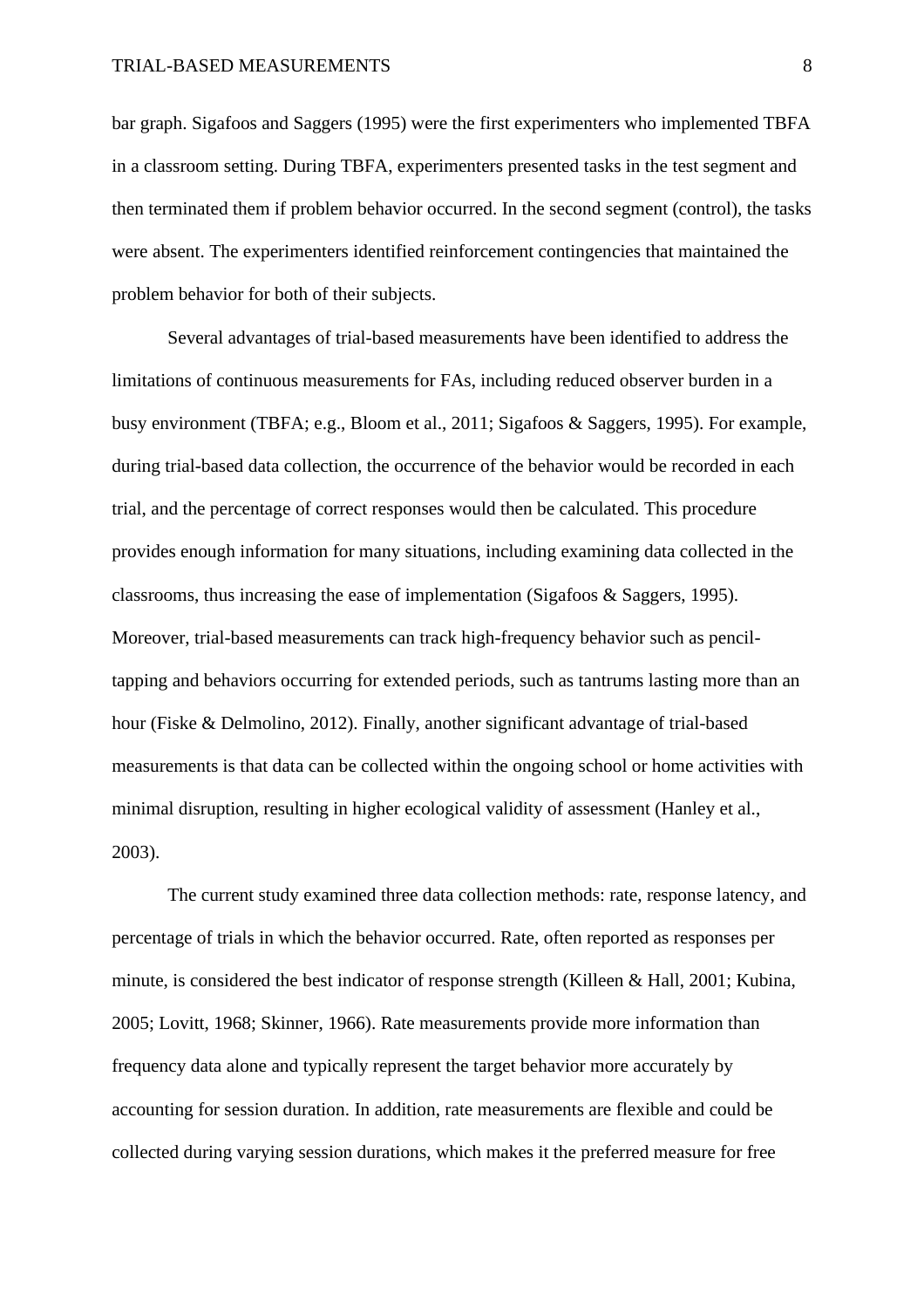bar graph. Sigafoos and Saggers (1995) were the first experimenters who implemented TBFA in a classroom setting. During TBFA, experimenters presented tasks in the test segment and then terminated them if problem behavior occurred. In the second segment (control), the tasks were absent. The experimenters identified reinforcement contingencies that maintained the problem behavior for both of their subjects.

Several advantages of trial-based measurements have been identified to address the limitations of continuous measurements for FAs, including reduced observer burden in a busy environment (TBFA; e.g., Bloom et al., 2011; Sigafoos & Saggers, 1995). For example, during trial-based data collection, the occurrence of the behavior would be recorded in each trial, and the percentage of correct responses would then be calculated. This procedure provides enough information for many situations, including examining data collected in the classrooms, thus increasing the ease of implementation (Sigafoos & Saggers, 1995). Moreover, trial-based measurements can track high-frequency behavior such as penciltapping and behaviors occurring for extended periods, such as tantrums lasting more than an hour (Fiske & Delmolino, 2012). Finally, another significant advantage of trial-based measurements is that data can be collected within the ongoing school or home activities with minimal disruption, resulting in higher ecological validity of assessment (Hanley et al., 2003).

The current study examined three data collection methods: rate, response latency, and percentage of trials in which the behavior occurred. Rate, often reported as responses per minute, is considered the best indicator of response strength (Killeen & Hall, 2001; Kubina, 2005; Lovitt, 1968; Skinner, 1966). Rate measurements provide more information than frequency data alone and typically represent the target behavior more accurately by accounting for session duration. In addition, rate measurements are flexible and could be collected during varying session durations, which makes it the preferred measure for free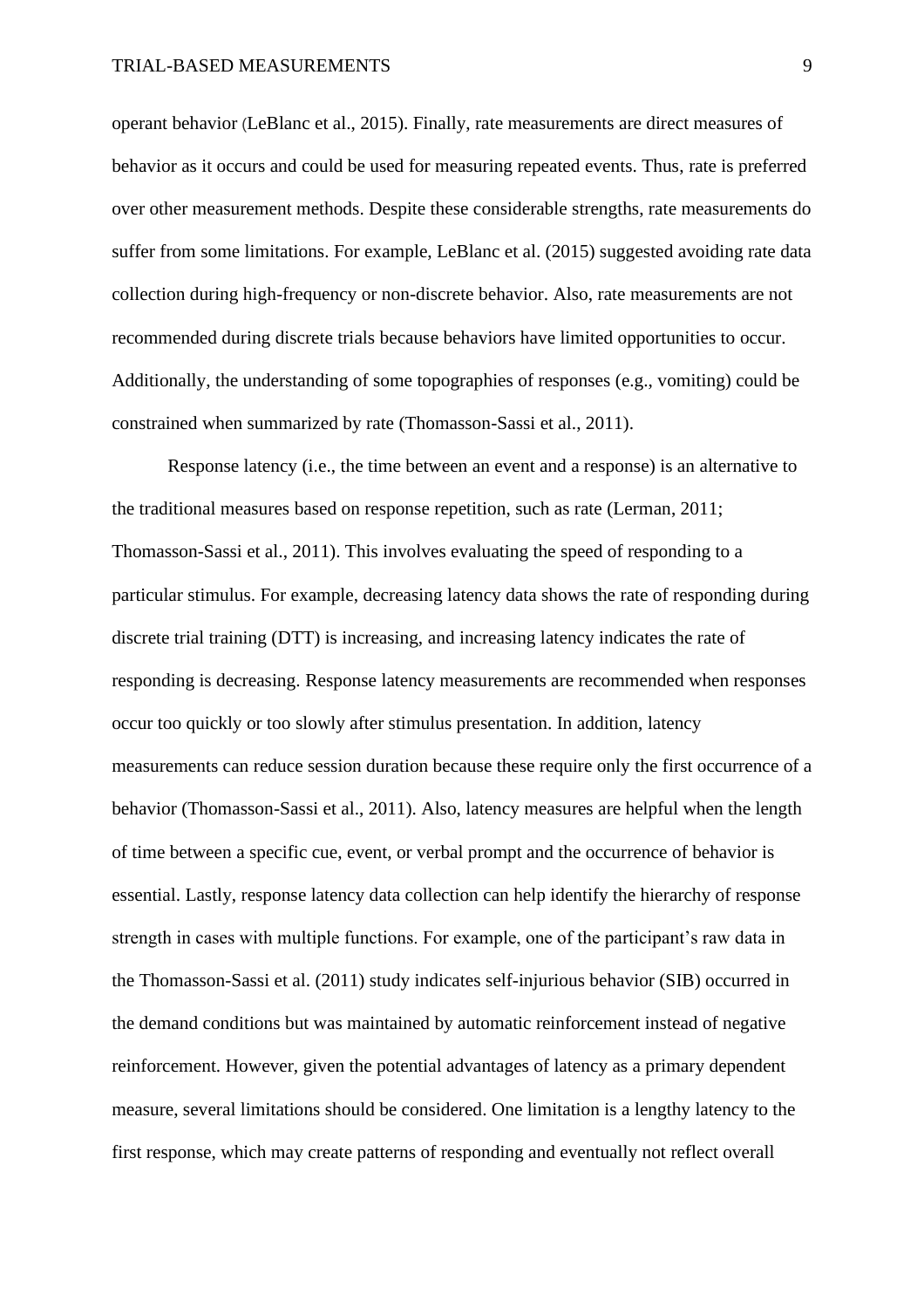operant behavior (LeBlanc et al., 2015). Finally, rate measurements are direct measures of behavior as it occurs and could be used for measuring repeated events. Thus, rate is preferred over other measurement methods. Despite these considerable strengths, rate measurements do suffer from some limitations. For example, LeBlanc et al. (2015) suggested avoiding rate data collection during high-frequency or non-discrete behavior. Also, rate measurements are not recommended during discrete trials because behaviors have limited opportunities to occur. Additionally, the understanding of some topographies of responses (e.g., vomiting) could be constrained when summarized by rate (Thomasson-Sassi et al., 2011).

Response latency (i.e., the time between an event and a response) is an alternative to the traditional measures based on response repetition, such as rate (Lerman, 2011; Thomasson-Sassi et al., 2011). This involves evaluating the speed of responding to a particular stimulus. For example, decreasing latency data shows the rate of responding during discrete trial training (DTT) is increasing, and increasing latency indicates the rate of responding is decreasing. Response latency measurements are recommended when responses occur too quickly or too slowly after stimulus presentation. In addition, latency measurements can reduce session duration because these require only the first occurrence of a behavior (Thomasson-Sassi et al., 2011). Also, latency measures are helpful when the length of time between a specific cue, event, or verbal prompt and the occurrence of behavior is essential. Lastly, response latency data collection can help identify the hierarchy of response strength in cases with multiple functions. For example, one of the participant's raw data in the Thomasson-Sassi et al. (2011) study indicates self-injurious behavior (SIB) occurred in the demand conditions but was maintained by automatic reinforcement instead of negative reinforcement. However, given the potential advantages of latency as a primary dependent measure, several limitations should be considered. One limitation is a lengthy latency to the first response, which may create patterns of responding and eventually not reflect overall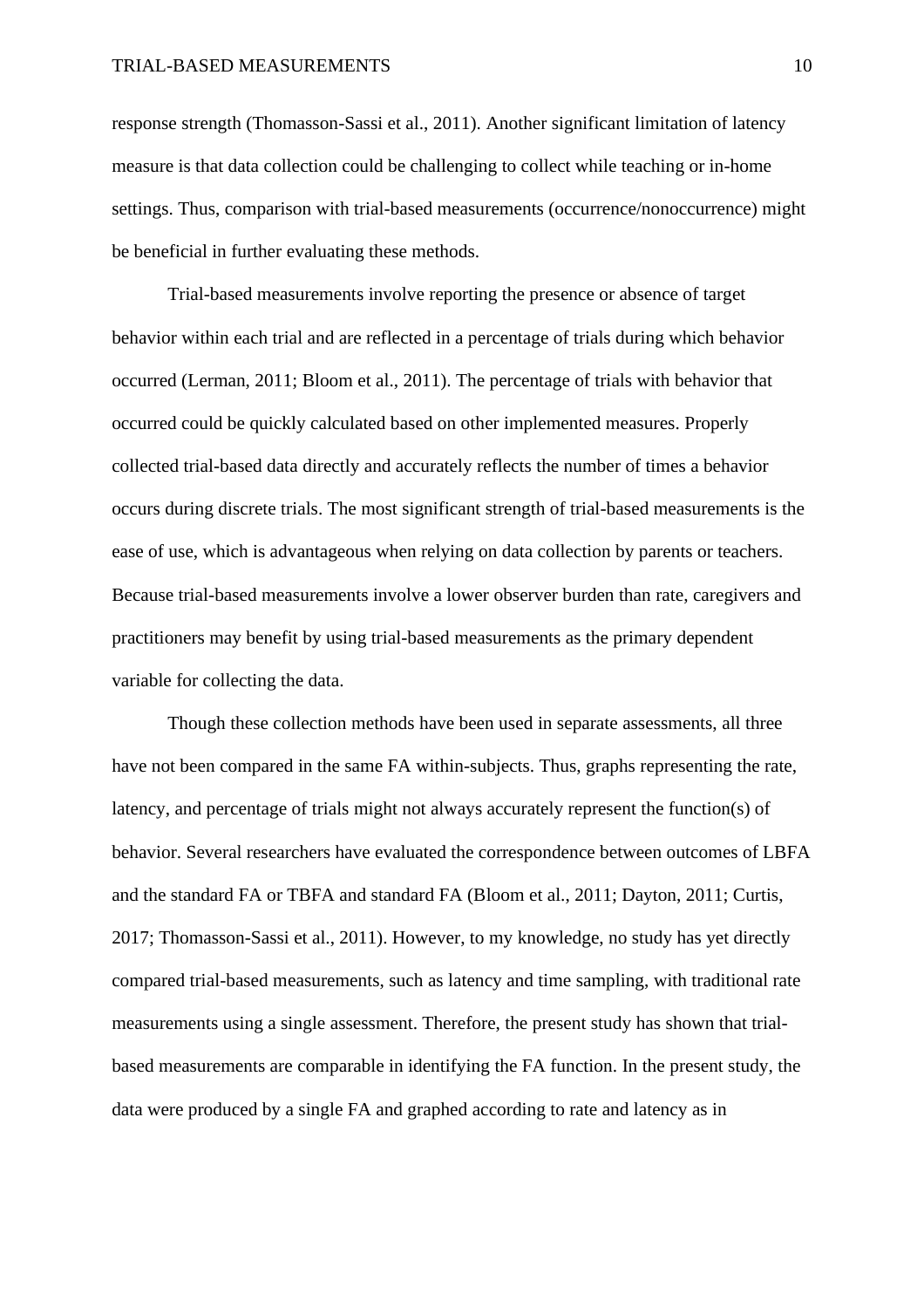response strength (Thomasson-Sassi et al., 2011). Another significant limitation of latency measure is that data collection could be challenging to collect while teaching or in-home settings. Thus, comparison with trial-based measurements (occurrence/nonoccurrence) might be beneficial in further evaluating these methods.

Trial-based measurements involve reporting the presence or absence of target behavior within each trial and are reflected in a percentage of trials during which behavior occurred (Lerman, 2011; Bloom et al., 2011). The percentage of trials with behavior that occurred could be quickly calculated based on other implemented measures. Properly collected trial-based data directly and accurately reflects the number of times a behavior occurs during discrete trials. The most significant strength of trial-based measurements is the ease of use, which is advantageous when relying on data collection by parents or teachers. Because trial-based measurements involve a lower observer burden than rate, caregivers and practitioners may benefit by using trial-based measurements as the primary dependent variable for collecting the data.

Though these collection methods have been used in separate assessments, all three have not been compared in the same FA within-subjects. Thus, graphs representing the rate, latency, and percentage of trials might not always accurately represent the function(s) of behavior. Several researchers have evaluated the correspondence between outcomes of LBFA and the standard FA or TBFA and standard FA (Bloom et al., 2011; Dayton, 2011; Curtis, 2017; Thomasson-Sassi et al., 2011). However, to my knowledge, no study has yet directly compared trial-based measurements, such as latency and time sampling, with traditional rate measurements using a single assessment. Therefore, the present study has shown that trialbased measurements are comparable in identifying the FA function. In the present study, the data were produced by a single FA and graphed according to rate and latency as in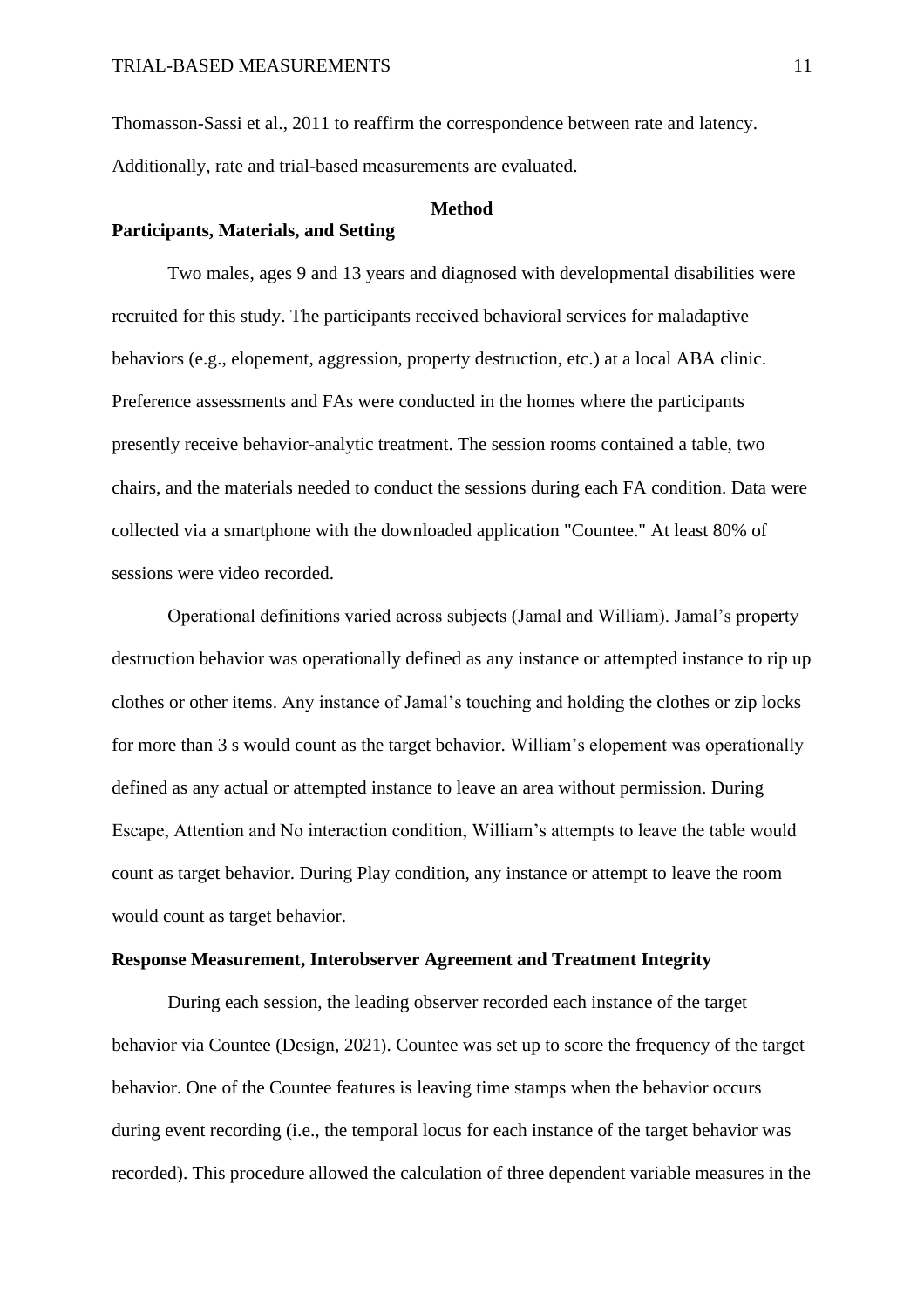Thomasson-Sassi et al., 2011 to reaffirm the correspondence between rate and latency. Additionally, rate and trial-based measurements are evaluated.

#### **Method**

### **Participants, Materials, and Setting**

Two males, ages 9 and 13 years and diagnosed with developmental disabilities were recruited for this study. The participants received behavioral services for maladaptive behaviors (e.g., elopement, aggression, property destruction, etc.) at a local ABA clinic. Preference assessments and FAs were conducted in the homes where the participants presently receive behavior-analytic treatment. The session rooms contained a table, two chairs, and the materials needed to conduct the sessions during each FA condition. Data were collected via a smartphone with the downloaded application "Countee." At least 80% of sessions were video recorded.

Operational definitions varied across subjects (Jamal and William). Jamal's property destruction behavior was operationally defined as any instance or attempted instance to rip up clothes or other items. Any instance of Jamal's touching and holding the clothes or zip locks for more than 3 s would count as the target behavior. William's elopement was operationally defined as any actual or attempted instance to leave an area without permission. During Escape, Attention and No interaction condition, William's attempts to leave the table would count as target behavior. During Play condition, any instance or attempt to leave the room would count as target behavior.

### **Response Measurement, Interobserver Agreement and Treatment Integrity**

During each session, the leading observer recorded each instance of the target behavior via Countee (Design, 2021). Countee was set up to score the frequency of the target behavior. One of the Countee features is leaving time stamps when the behavior occurs during event recording (i.e., the temporal locus for each instance of the target behavior was recorded). This procedure allowed the calculation of three dependent variable measures in the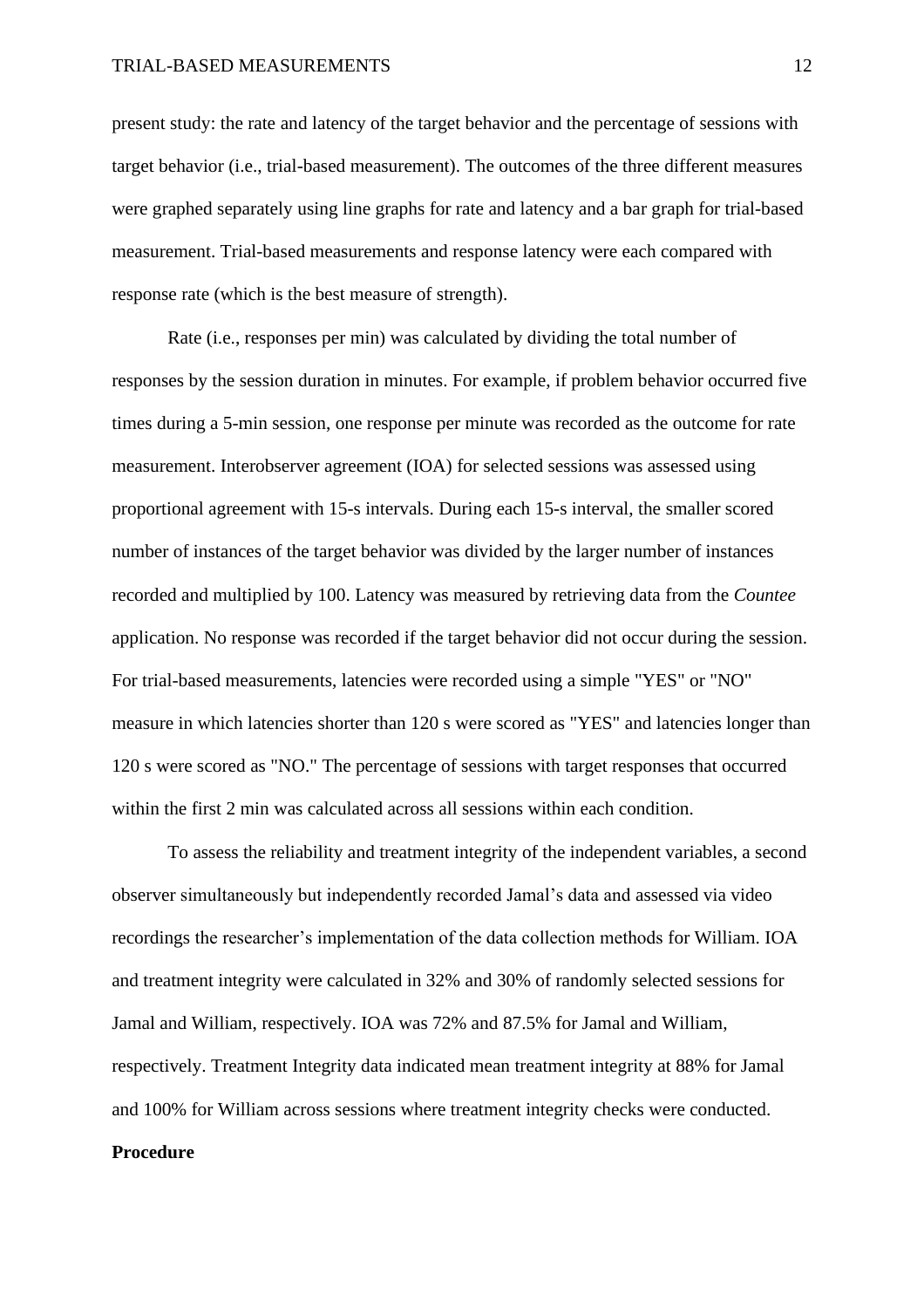present study: the rate and latency of the target behavior and the percentage of sessions with target behavior (i.e., trial-based measurement). The outcomes of the three different measures were graphed separately using line graphs for rate and latency and a bar graph for trial-based measurement. Trial-based measurements and response latency were each compared with response rate (which is the best measure of strength).

Rate (i.e., responses per min) was calculated by dividing the total number of responses by the session duration in minutes. For example, if problem behavior occurred five times during a 5-min session, one response per minute was recorded as the outcome for rate measurement. Interobserver agreement (IOA) for selected sessions was assessed using proportional agreement with 15-s intervals. During each 15-s interval, the smaller scored number of instances of the target behavior was divided by the larger number of instances recorded and multiplied by 100. Latency was measured by retrieving data from the *Countee* application. No response was recorded if the target behavior did not occur during the session. For trial-based measurements, latencies were recorded using a simple "YES" or "NO" measure in which latencies shorter than 120 s were scored as "YES" and latencies longer than 120 s were scored as "NO." The percentage of sessions with target responses that occurred within the first 2 min was calculated across all sessions within each condition.

To assess the reliability and treatment integrity of the independent variables, a second observer simultaneously but independently recorded Jamal's data and assessed via video recordings the researcher's implementation of the data collection methods for William. IOA and treatment integrity were calculated in 32% and 30% of randomly selected sessions for Jamal and William, respectively. IOA was 72% and 87.5% for Jamal and William, respectively. Treatment Integrity data indicated mean treatment integrity at 88% for Jamal and 100% for William across sessions where treatment integrity checks were conducted. **Procedure**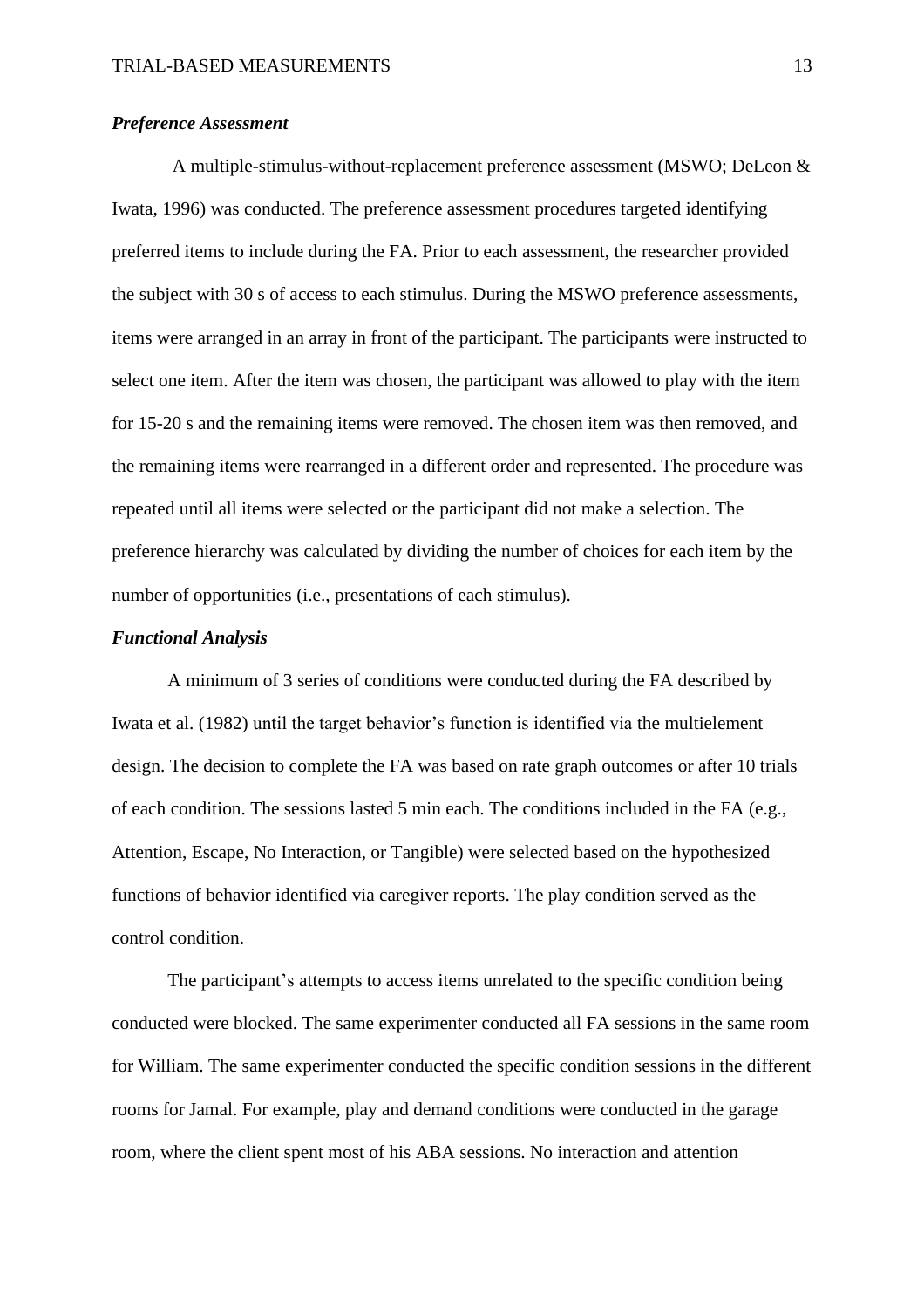### *Preference Assessment*

A multiple-stimulus-without-replacement preference assessment (MSWO; DeLeon & Iwata, 1996) was conducted. The preference assessment procedures targeted identifying preferred items to include during the FA. Prior to each assessment, the researcher provided the subject with 30 s of access to each stimulus. During the MSWO preference assessments, items were arranged in an array in front of the participant. The participants were instructed to select one item. After the item was chosen, the participant was allowed to play with the item for 15-20 s and the remaining items were removed. The chosen item was then removed, and the remaining items were rearranged in a different order and represented. The procedure was repeated until all items were selected or the participant did not make a selection. The preference hierarchy was calculated by dividing the number of choices for each item by the number of opportunities (i.e., presentations of each stimulus).

### *Functional Analysis*

A minimum of 3 series of conditions were conducted during the FA described by Iwata et al. (1982) until the target behavior's function is identified via the multielement design. The decision to complete the FA was based on rate graph outcomes or after 10 trials of each condition. The sessions lasted 5 min each. The conditions included in the FA (e.g., Attention, Escape, No Interaction, or Tangible) were selected based on the hypothesized functions of behavior identified via caregiver reports. The play condition served as the control condition.

The participant's attempts to access items unrelated to the specific condition being conducted were blocked. The same experimenter conducted all FA sessions in the same room for William. The same experimenter conducted the specific condition sessions in the different rooms for Jamal. For example, play and demand conditions were conducted in the garage room, where the client spent most of his ABA sessions. No interaction and attention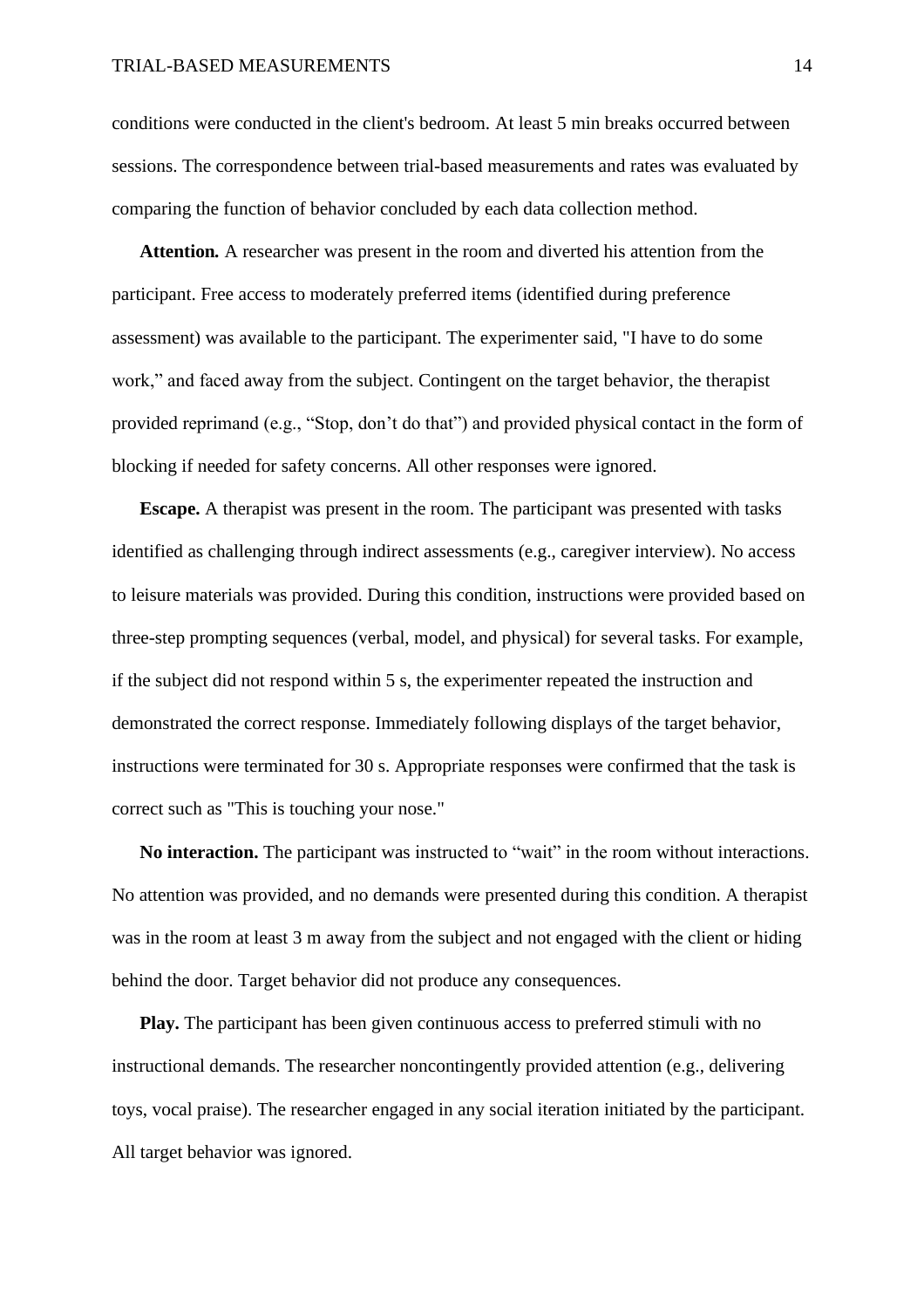conditions were conducted in the client's bedroom. At least 5 min breaks occurred between sessions. The correspondence between trial-based measurements and rates was evaluated by comparing the function of behavior concluded by each data collection method.

**Attention***.* A researcher was present in the room and diverted his attention from the participant. Free access to moderately preferred items (identified during preference assessment) was available to the participant. The experimenter said, "I have to do some work," and faced away from the subject. Contingent on the target behavior, the therapist provided reprimand (e.g., "Stop, don't do that") and provided physical contact in the form of blocking if needed for safety concerns. All other responses were ignored.

**Escape.** A therapist was present in the room. The participant was presented with tasks identified as challenging through indirect assessments (e.g., caregiver interview). No access to leisure materials was provided. During this condition, instructions were provided based on three-step prompting sequences (verbal, model, and physical) for several tasks. For example, if the subject did not respond within 5 s, the experimenter repeated the instruction and demonstrated the correct response. Immediately following displays of the target behavior, instructions were terminated for 30 s. Appropriate responses were confirmed that the task is correct such as "This is touching your nose."

**No interaction.** The participant was instructed to "wait" in the room without interactions. No attention was provided, and no demands were presented during this condition. A therapist was in the room at least 3 m away from the subject and not engaged with the client or hiding behind the door. Target behavior did not produce any consequences.

**Play.** The participant has been given continuous access to preferred stimuli with no instructional demands. The researcher noncontingently provided attention (e.g., delivering toys, vocal praise). The researcher engaged in any social iteration initiated by the participant. All target behavior was ignored.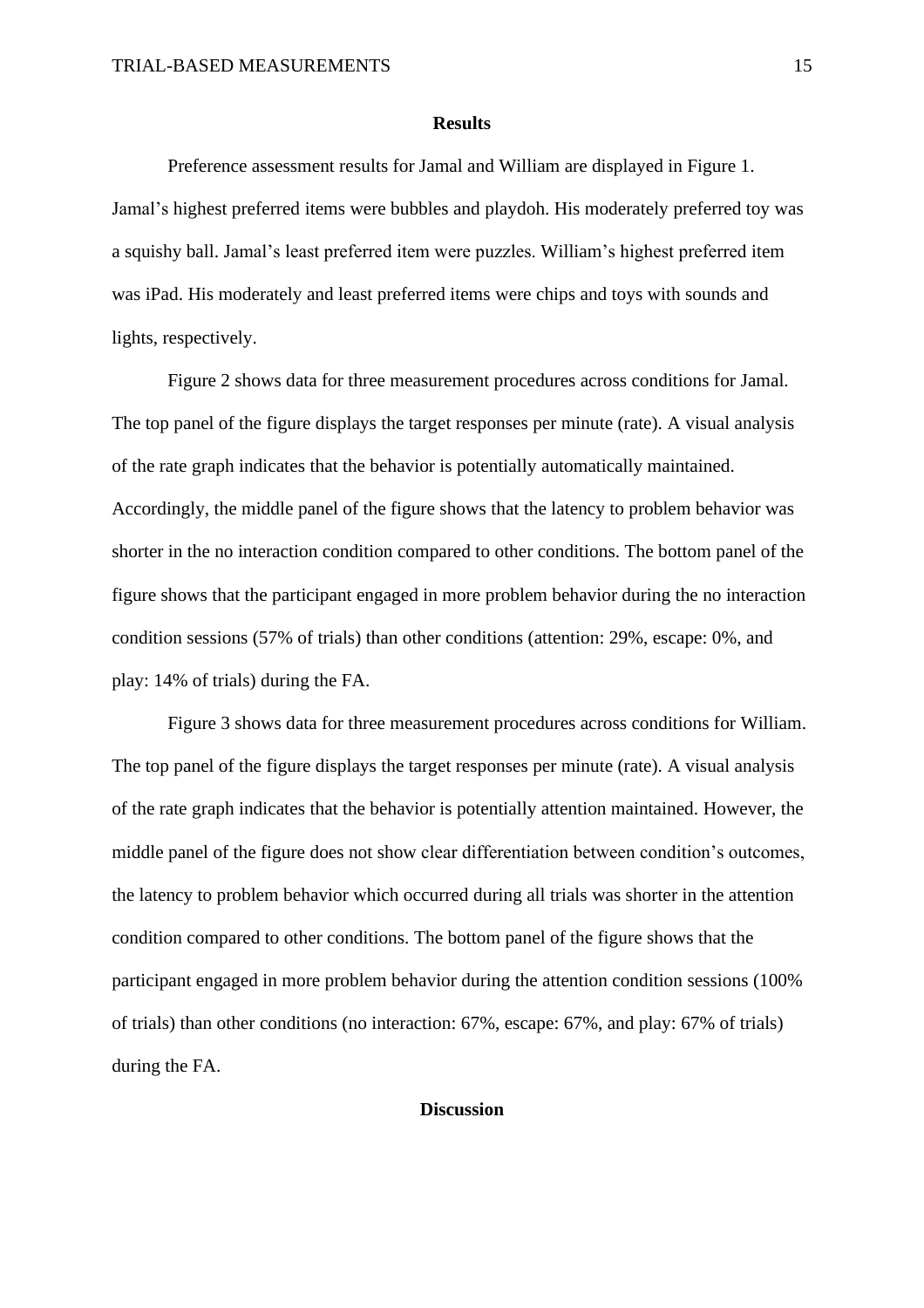#### **Results**

Preference assessment results for Jamal and William are displayed in Figure 1. Jamal's highest preferred items were bubbles and playdoh. His moderately preferred toy was a squishy ball. Jamal's least preferred item were puzzles. William's highest preferred item was iPad. His moderately and least preferred items were chips and toys with sounds and lights, respectively.

Figure 2 shows data for three measurement procedures across conditions for Jamal. The top panel of the figure displays the target responses per minute (rate). A visual analysis of the rate graph indicates that the behavior is potentially automatically maintained. Accordingly, the middle panel of the figure shows that the latency to problem behavior was shorter in the no interaction condition compared to other conditions. The bottom panel of the figure shows that the participant engaged in more problem behavior during the no interaction condition sessions (57% of trials) than other conditions (attention: 29%, escape: 0%, and play: 14% of trials) during the FA.

Figure 3 shows data for three measurement procedures across conditions for William. The top panel of the figure displays the target responses per minute (rate). A visual analysis of the rate graph indicates that the behavior is potentially attention maintained. However, the middle panel of the figure does not show clear differentiation between condition's outcomes, the latency to problem behavior which occurred during all trials was shorter in the attention condition compared to other conditions. The bottom panel of the figure shows that the participant engaged in more problem behavior during the attention condition sessions (100% of trials) than other conditions (no interaction: 67%, escape: 67%, and play: 67% of trials) during the FA.

### **Discussion**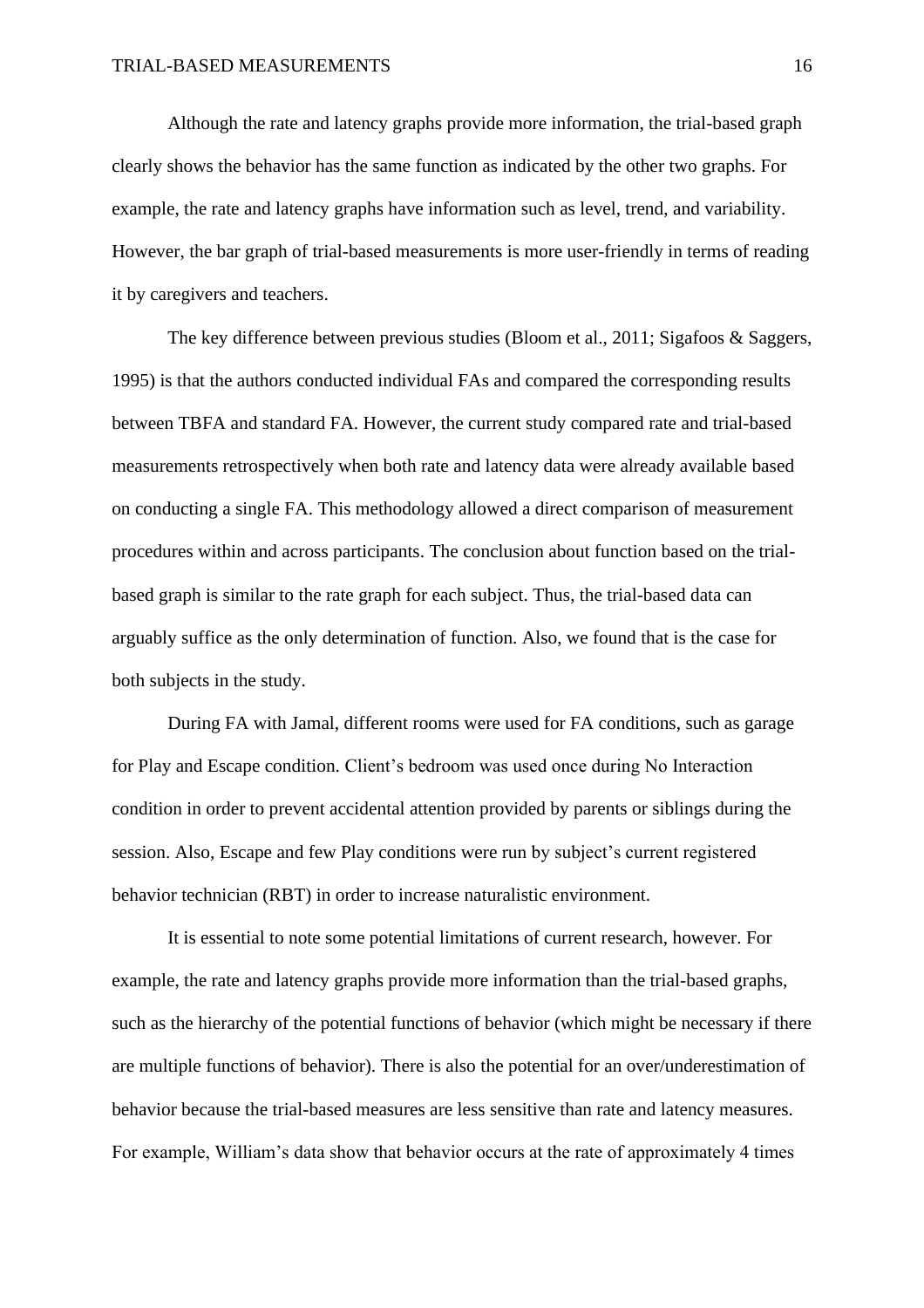Although the rate and latency graphs provide more information, the trial-based graph clearly shows the behavior has the same function as indicated by the other two graphs. For example, the rate and latency graphs have information such as level, trend, and variability. However, the bar graph of trial-based measurements is more user-friendly in terms of reading it by caregivers and teachers.

The key difference between previous studies (Bloom et al., 2011; Sigafoos & Saggers, 1995) is that the authors conducted individual FAs and compared the corresponding results between TBFA and standard FA. However, the current study compared rate and trial-based measurements retrospectively when both rate and latency data were already available based on conducting a single FA. This methodology allowed a direct comparison of measurement procedures within and across participants. The conclusion about function based on the trialbased graph is similar to the rate graph for each subject. Thus, the trial-based data can arguably suffice as the only determination of function. Also, we found that is the case for both subjects in the study.

During FA with Jamal, different rooms were used for FA conditions, such as garage for Play and Escape condition. Client's bedroom was used once during No Interaction condition in order to prevent accidental attention provided by parents or siblings during the session. Also, Escape and few Play conditions were run by subject's current registered behavior technician (RBT) in order to increase naturalistic environment.

It is essential to note some potential limitations of current research, however. For example, the rate and latency graphs provide more information than the trial-based graphs, such as the hierarchy of the potential functions of behavior (which might be necessary if there are multiple functions of behavior). There is also the potential for an over/underestimation of behavior because the trial-based measures are less sensitive than rate and latency measures. For example, William's data show that behavior occurs at the rate of approximately 4 times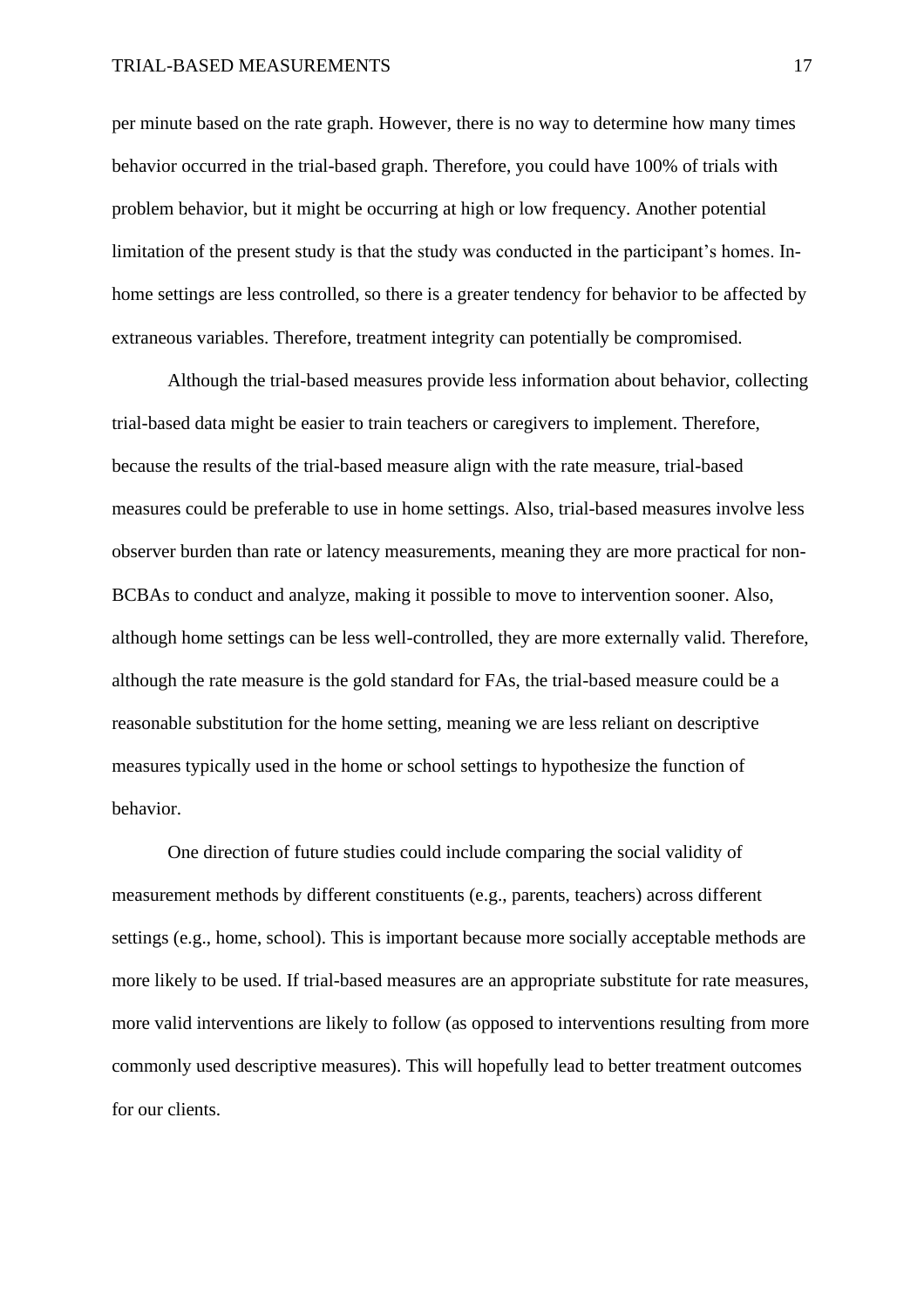#### TRIAL-BASED MEASUREMENTS 17

per minute based on the rate graph. However, there is no way to determine how many times behavior occurred in the trial-based graph. Therefore, you could have 100% of trials with problem behavior, but it might be occurring at high or low frequency. Another potential limitation of the present study is that the study was conducted in the participant's homes. Inhome settings are less controlled, so there is a greater tendency for behavior to be affected by extraneous variables. Therefore, treatment integrity can potentially be compromised.

Although the trial-based measures provide less information about behavior, collecting trial-based data might be easier to train teachers or caregivers to implement. Therefore, because the results of the trial-based measure align with the rate measure, trial-based measures could be preferable to use in home settings. Also, trial-based measures involve less observer burden than rate or latency measurements, meaning they are more practical for non-BCBAs to conduct and analyze, making it possible to move to intervention sooner. Also, although home settings can be less well-controlled, they are more externally valid. Therefore, although the rate measure is the gold standard for FAs, the trial-based measure could be a reasonable substitution for the home setting, meaning we are less reliant on descriptive measures typically used in the home or school settings to hypothesize the function of behavior.

One direction of future studies could include comparing the social validity of measurement methods by different constituents (e.g., parents, teachers) across different settings (e.g., home, school). This is important because more socially acceptable methods are more likely to be used. If trial-based measures are an appropriate substitute for rate measures, more valid interventions are likely to follow (as opposed to interventions resulting from more commonly used descriptive measures). This will hopefully lead to better treatment outcomes for our clients.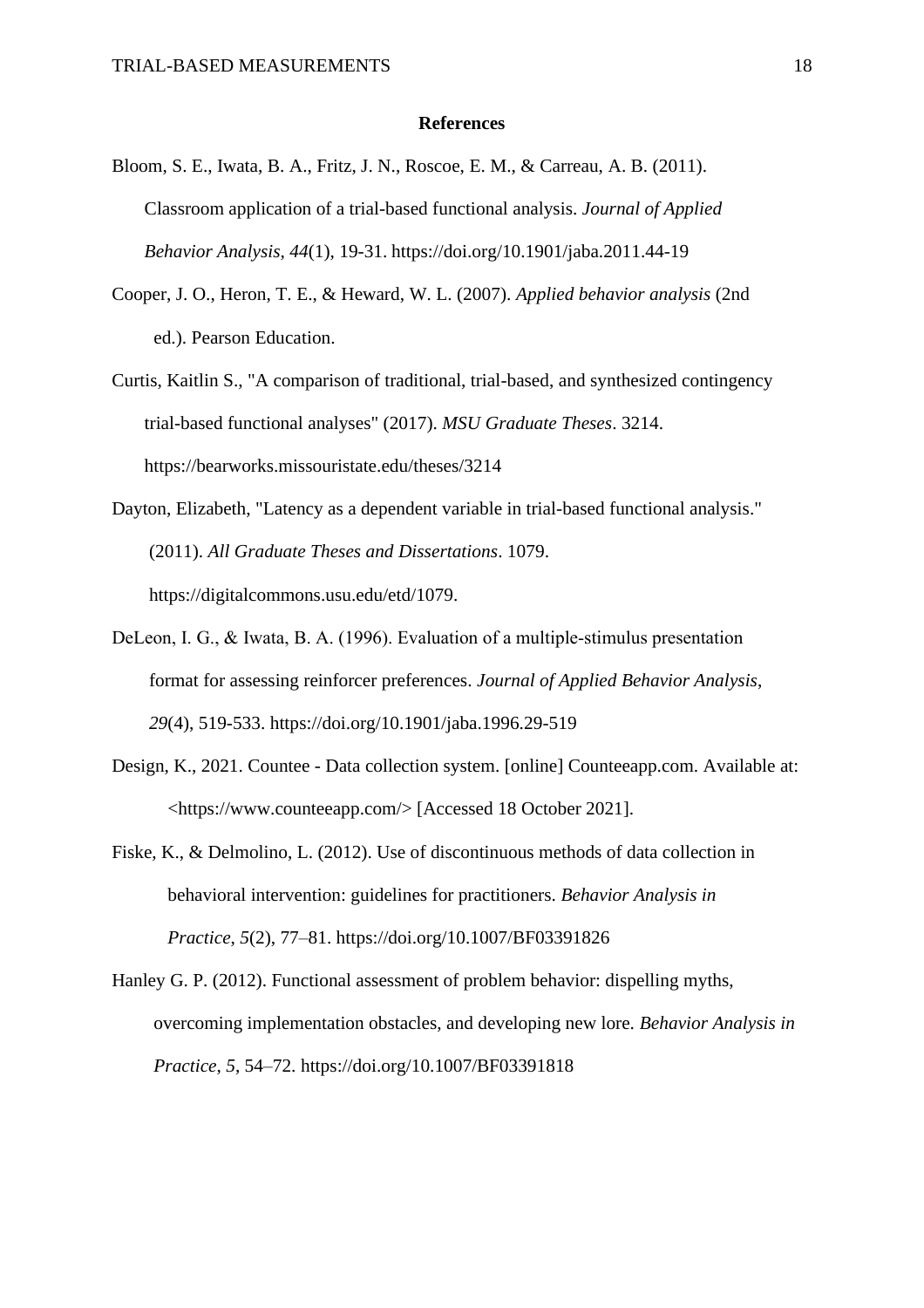#### **References**

- Bloom, S. E., Iwata, B. A., Fritz, J. N., Roscoe, E. M., & Carreau, A. B. (2011). Classroom application of a trial-based functional analysis. *Journal of Applied Behavior Analysis, 44*(1), 19-31. https://doi.org/10.1901/jaba.2011.44-19
- Cooper, J. O., Heron, T. E., & Heward, W. L. (2007). *Applied behavior analysis* (2nd ed.). Pearson Education.
- Curtis, Kaitlin S., "A comparison of traditional, trial-based, and synthesized contingency trial-based functional analyses" (2017). *MSU Graduate Theses*. 3214. https://bearworks.missouristate.edu/theses/3214
- Dayton, Elizabeth, "Latency as a dependent variable in trial-based functional analysis." (2011). *All Graduate Theses and Dissertations*. 1079. [https://digitalcommons.usu.edu/etd/1079.](https://digitalcommons.usu.edu/etd/1079)
- DeLeon, I. G., & Iwata, B. A. (1996). Evaluation of a multiple‐stimulus presentation format for assessing reinforcer preferences. *Journal of Applied Behavior Analysis*,  *29*(4), 519-533.<https://doi.org/10.1901/jaba.1996.29-519>
- Design, K., 2021. Countee Data collection system. [online] Counteeapp.com. Available at: <https://www.counteeapp.com/> [Accessed 18 October 2021].
- Fiske, K., & Delmolino, L. (2012). Use of discontinuous methods of data collection in behavioral intervention: guidelines for practitioners. *Behavior Analysis in Practice*, *5*(2), 77–81.<https://doi.org/10.1007/BF03391826>
- Hanley G. P. (2012). Functional assessment of problem behavior: dispelling myths, overcoming implementation obstacles, and developing new lore. *Behavior Analysis in Practice*, *5*, 54–72.<https://doi.org/10.1007/BF03391818>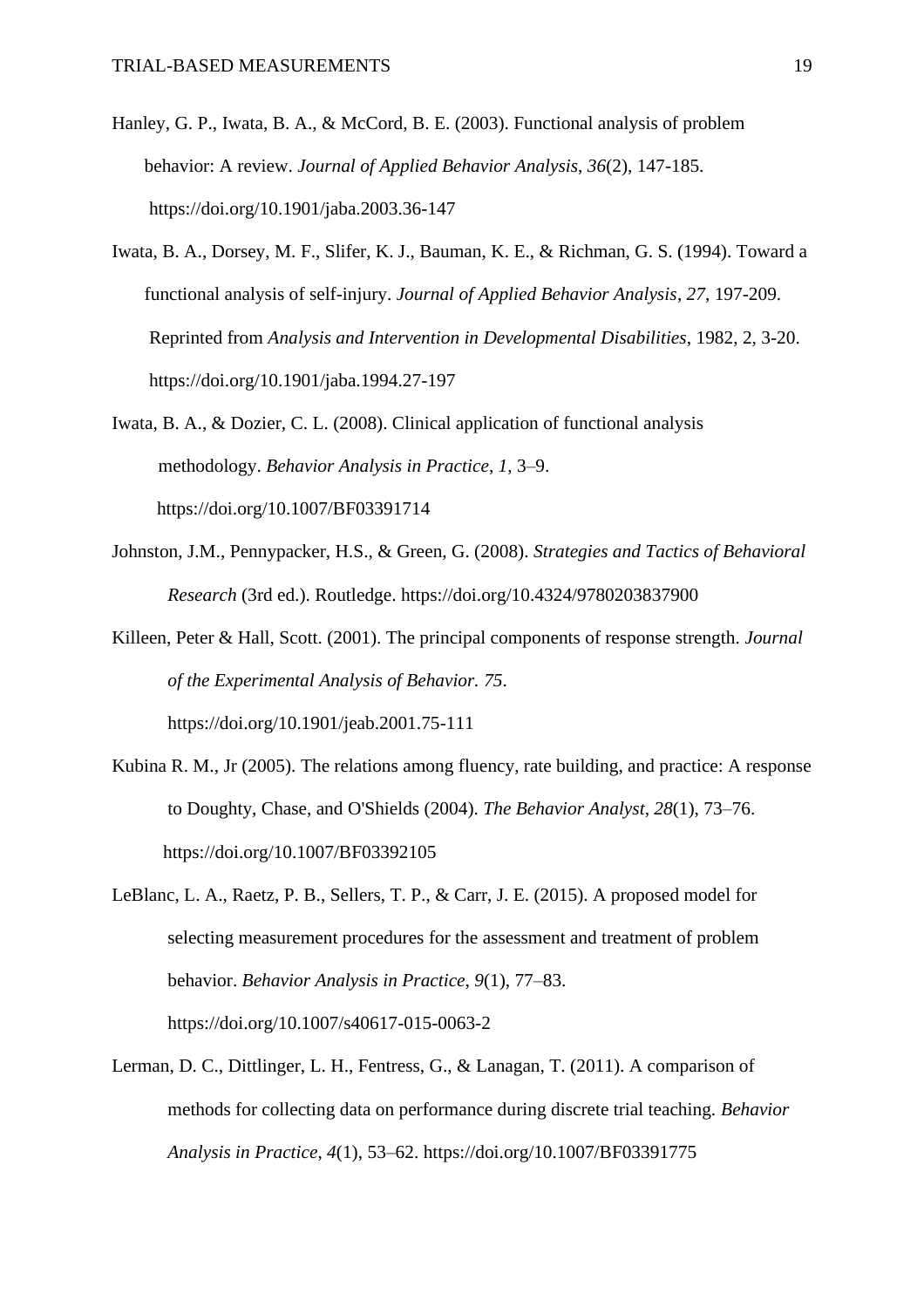- Hanley, G. P., Iwata, B. A., & McCord, B. E. (2003). Functional analysis of problem behavior: A review. *Journal of Applied Behavior Analysis*, *36*(2), 147-185. https://doi.org/10.1901/jaba.2003.36-147
- Iwata, B. A., Dorsey, M. F., Slifer, K. J., Bauman, K. E., & Richman, G. S. (1994). Toward a functional analysis of self-injury. *Journal of Applied Behavior Analysis*, *27*, 197-209. Reprinted from *Analysis and Intervention in Developmental Disabilities*, 1982, 2, 3-20. https://doi.org/10.1901/jaba.1994.27-197
- Iwata, B. A., & Dozier, C. L. (2008). Clinical application of functional analysis methodology. *Behavior Analysis in Practice*, *1*, 3–9. https://doi.org/10.1007/BF03391714
- Johnston, J.M., Pennypacker, H.S., & Green, G. (2008). *Strategies and Tactics of Behavioral Research* (3rd ed.). Routledge. https://doi.org/10.4324/9780203837900
- Killeen, Peter & Hall, Scott. (2001). The principal components of response strength. *Journal of the Experimental Analysis of Behavior. 75*. https://doi.org/10.1901/jeab.2001.75-111
- Kubina R. M., Jr (2005). The relations among fluency, rate building, and practice: A response to Doughty, Chase, and O'Shields (2004). *The Behavior Analyst*, *28*(1), 73–76. https://doi.org/10.1007/BF03392105
- LeBlanc, L. A., Raetz, P. B., Sellers, T. P., & Carr, J. E. (2015). A proposed model for selecting measurement procedures for the assessment and treatment of problem behavior. *Behavior Analysis in Practice*, *9*(1), 77–83. <https://doi.org/10.1007/s40617-015-0063-2>
- Lerman, D. C., Dittlinger, L. H., Fentress, G., & Lanagan, T. (2011). A comparison of methods for collecting data on performance during discrete trial teaching. *Behavior Analysis in Practice*, *4*(1), 53–62. https://doi.org/10.1007/BF03391775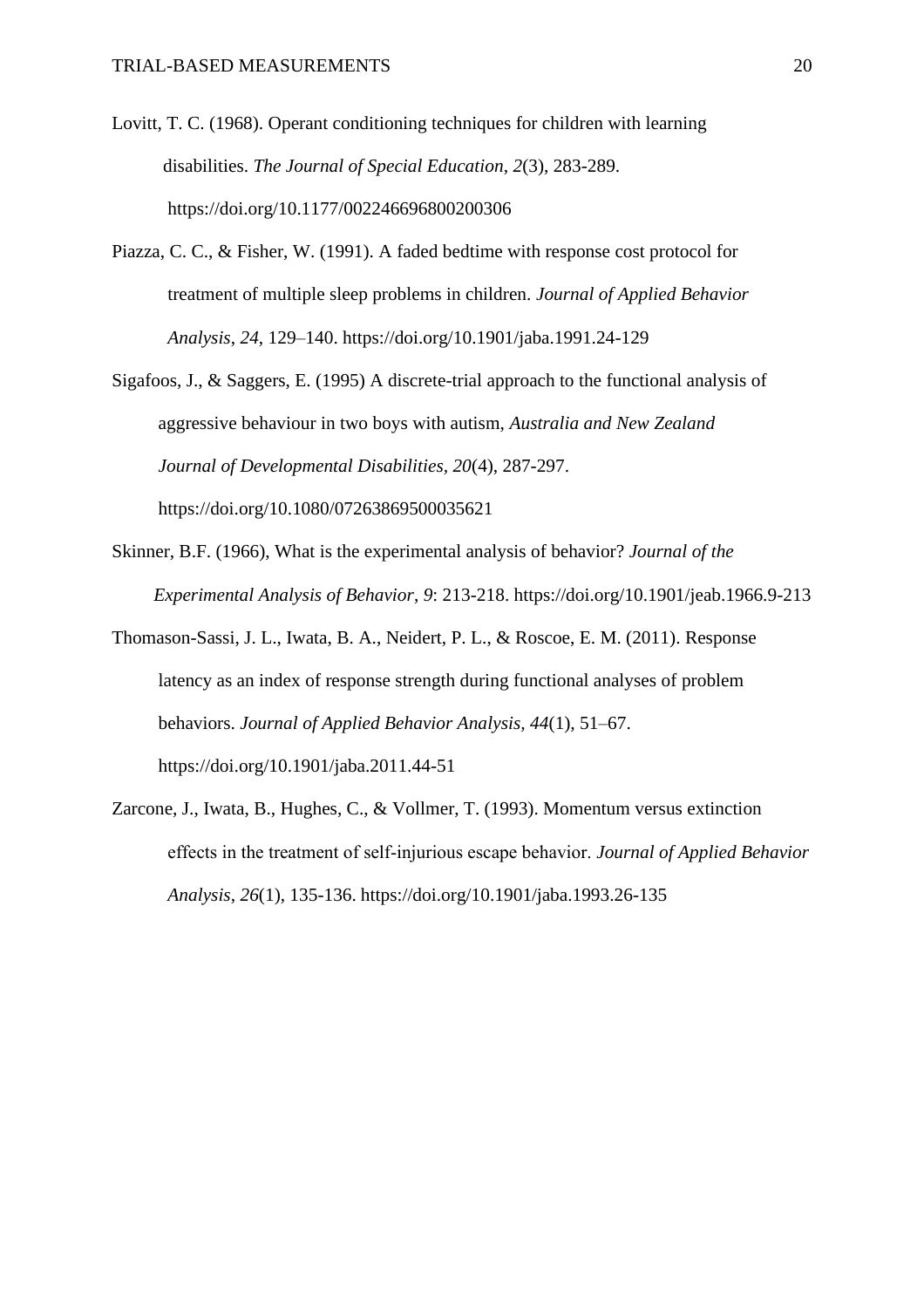- Lovitt, T. C. (1968). Operant conditioning techniques for children with learning disabilities. *The Journal of Special Education*, *2*(3), 283-289. <https://doi.org/10.1177/002246696800200306>
- Piazza, C. C., & Fisher, W. (1991). A faded bedtime with response cost protocol for treatment of multiple sleep problems in children. *Journal of Applied Behavior Analysis*, *24*, 129–140. https://doi.org/10.1901/jaba.1991.24-129
- Sigafoos, J., & Saggers, E. (1995) A discrete-trial approach to the functional analysis of aggressive behaviour in two boys with autism, *Australia and New Zealand Journal of Developmental Disabilities, 20*(4), 287-297. https://doi.org[/10.1080/07263869500035621](http://dx.doi.org/10.1080/07263869500035621)
- Skinner, B.F. (1966), What is the experimental analysis of behavior? *Journal of the Experimental Analysis of Behavior*, *9*: 213-218. <https://doi.org/10.1901/jeab.1966.9-213>
- Thomason-Sassi, J. L., Iwata, B. A., Neidert, P. L., & Roscoe, E. M. (2011). Response latency as an index of response strength during functional analyses of problem behaviors. *Journal of Applied Behavior Analysis, 44*(1)*,* 51–67. https://doi.org/10.1901/jaba.2011.44-51
- Zarcone, J., Iwata, B., Hughes, C., & Vollmer, T. (1993). Momentum versus extinction effects in the treatment of self‐injurious escape behavior. *Journal of Applied Behavior Analysis*, *26*(1), 135-136. https://doi.org/10.1901/jaba.1993.26-135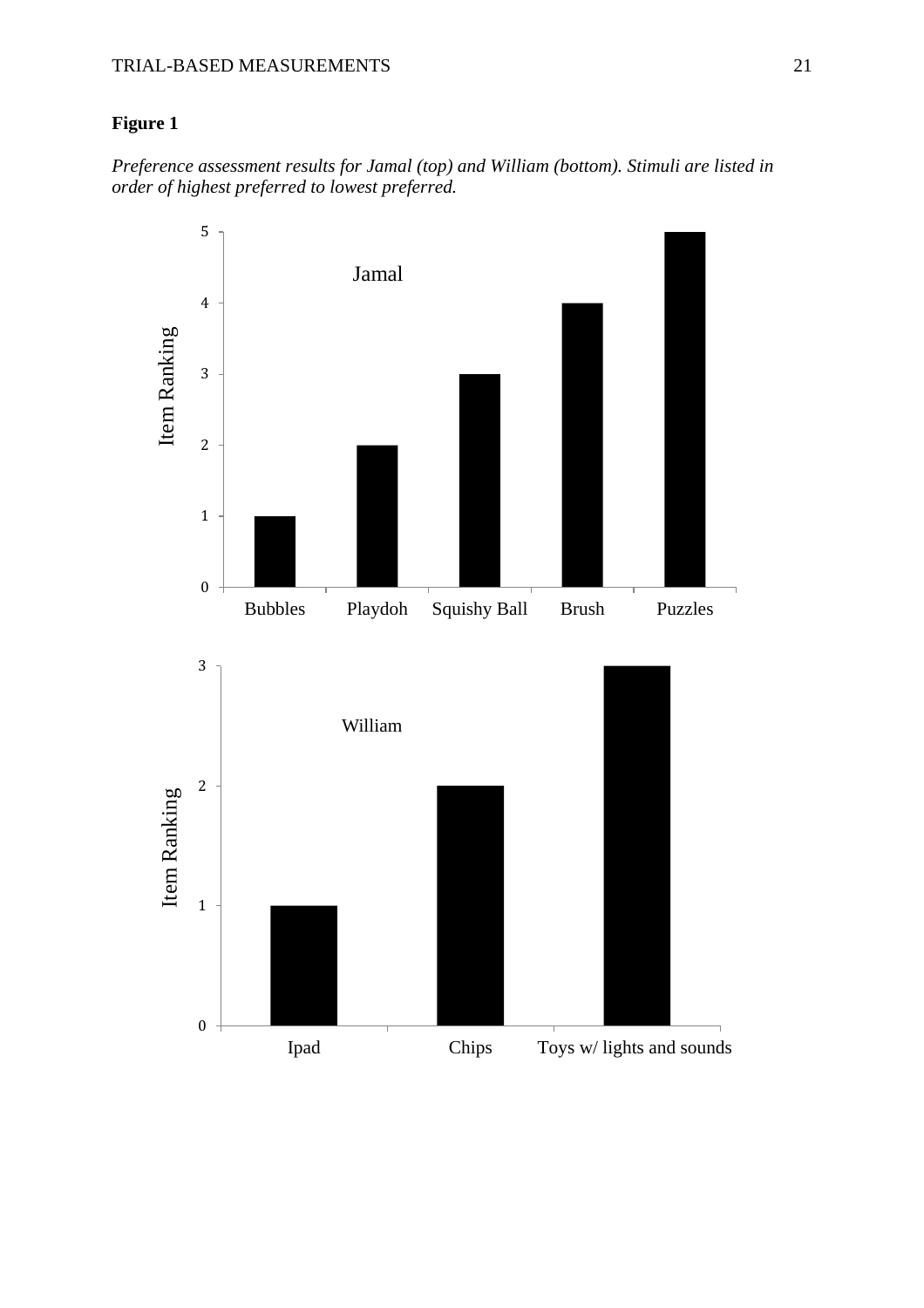# **Figure 1**

*Preference assessment results for Jamal (top) and William (bottom). Stimuli are listed in order of highest preferred to lowest preferred.*

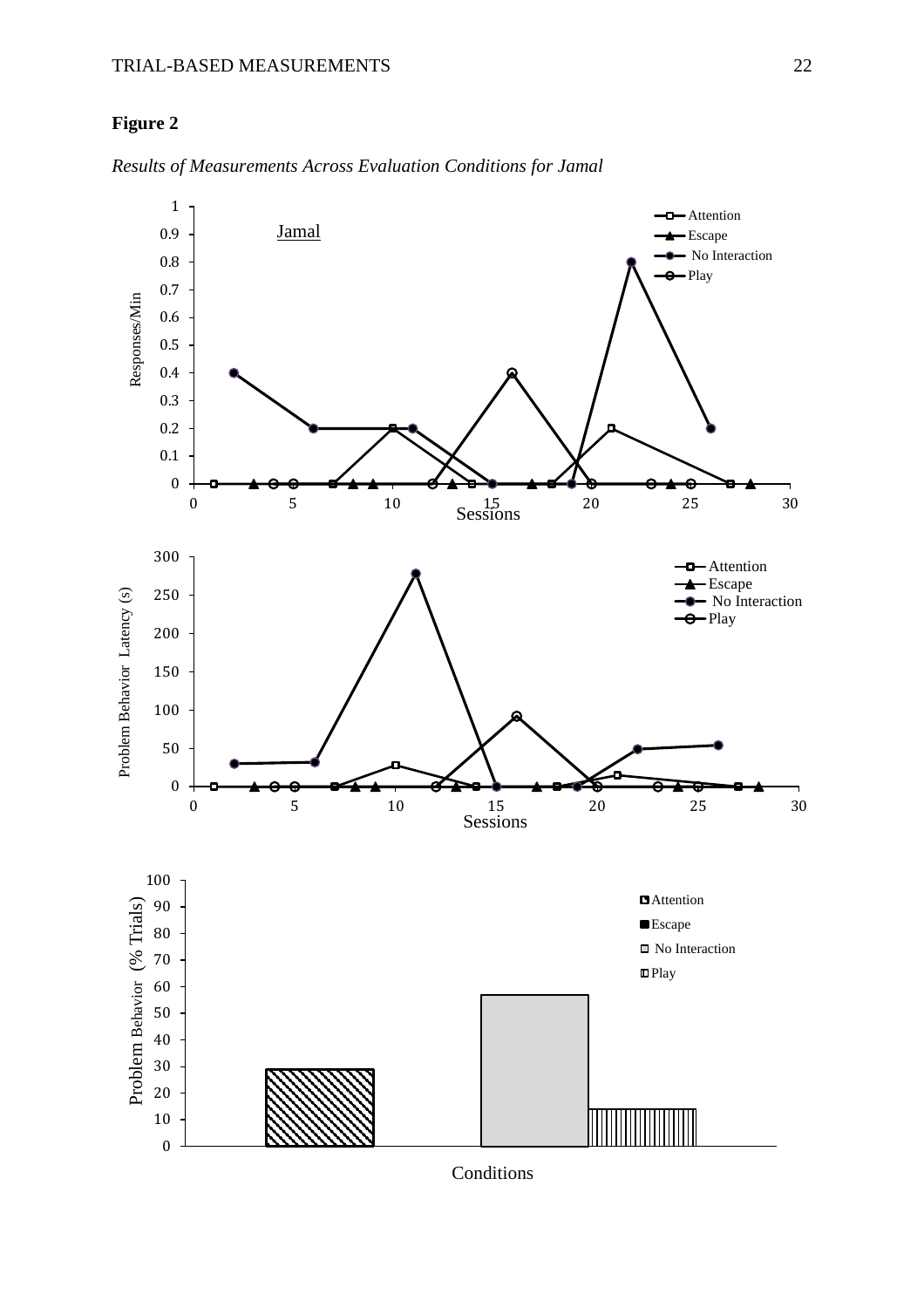## **Figure 2**



*Results of Measurements Across Evaluation Conditions for Jamal*

**Conditions**